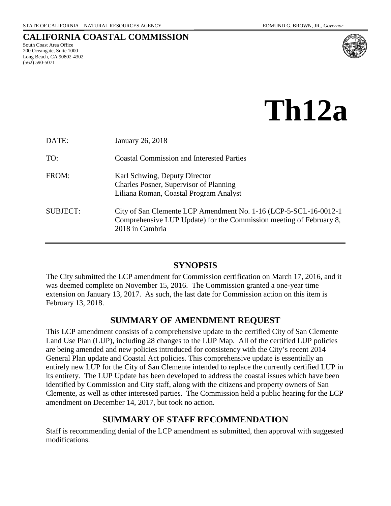# **CALIFORNIA COASTAL COMMISSION**

South Coast Area Office 200 Oceangate, Suite 1000 Long Beach, CA 90802-4302 (562) 590-5071



**Th12a**

| DATE:           | January 26, 2018                                                                                                                                            |
|-----------------|-------------------------------------------------------------------------------------------------------------------------------------------------------------|
| TO:             | <b>Coastal Commission and Interested Parties</b>                                                                                                            |
| FROM:           | Karl Schwing, Deputy Director<br>Charles Posner, Supervisor of Planning<br>Liliana Roman, Coastal Program Analyst                                           |
| <b>SUBJECT:</b> | City of San Clemente LCP Amendment No. 1-16 (LCP-5-SCL-16-0012-1)<br>Comprehensive LUP Update) for the Commission meeting of February 8,<br>2018 in Cambria |

# **SYNOPSIS**

<span id="page-0-0"></span>The City submitted the LCP amendment for Commission certification on March 17, 2016, and it was deemed complete on November 15, 2016. The Commission granted a one-year time extension on January 13, 2017. As such, the last date for Commission action on this item is February 13, 2018.

# **SUMMARY OF AMENDMENT REQUEST**

<span id="page-0-1"></span>This LCP amendment consists of a comprehensive update to the certified City of San Clemente Land Use Plan (LUP), including 28 changes to the LUP Map. All of the certified LUP policies are being amended and new policies introduced for consistency with the City's recent 2014 General Plan update and Coastal Act policies. This comprehensive update is essentially an entirely new LUP for the City of San Clemente intended to replace the currently certified LUP in its entirety. The LUP Update has been developed to address the coastal issues which have been identified by Commission and City staff, along with the citizens and property owners of San Clemente, as well as other interested parties. The Commission held a public hearing for the LCP amendment on December 14, 2017, but took no action.

# **SUMMARY OF STAFF RECOMMENDATION**

<span id="page-0-2"></span>Staff is recommending denial of the LCP amendment as submitted, then approval with suggested modifications.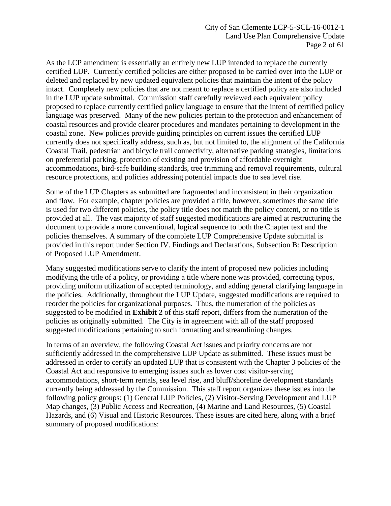City of San Clemente LCP-5-SCL-16-0012-1 Land Use Plan Comprehensive Update Page 2 of 61

As the LCP amendment is essentially an entirely new LUP intended to replace the currently certified LUP. Currently certified policies are either proposed to be carried over into the LUP or deleted and replaced by new updated equivalent policies that maintain the intent of the policy intact. Completely new policies that are not meant to replace a certified policy are also included in the LUP update submittal. Commission staff carefully reviewed each equivalent policy proposed to replace currently certified policy language to ensure that the intent of certified policy language was preserved. Many of the new policies pertain to the protection and enhancement of coastal resources and provide clearer procedures and mandates pertaining to development in the coastal zone. New policies provide guiding principles on current issues the certified LUP currently does not specifically address, such as, but not limited to, the alignment of the California Coastal Trail, pedestrian and bicycle trail connectivity, alternative parking strategies, limitations on preferential parking, protection of existing and provision of affordable overnight accommodations, bird-safe building standards, tree trimming and removal requirements, cultural resource protections, and policies addressing potential impacts due to sea level rise.

Some of the LUP Chapters as submitted are fragmented and inconsistent in their organization and flow. For example, chapter policies are provided a title, however, sometimes the same title is used for two different policies, the policy title does not match the policy content, or no title is provided at all. The vast majority of staff suggested modifications are aimed at restructuring the document to provide a more conventional, logical sequence to both the Chapter text and the policies themselves. A summary of the complete LUP Comprehensive Update submittal is provided in this report under Section IV. Findings and Declarations, Subsection B: Description of Proposed LUP Amendment.

Many suggested modifications serve to clarify the intent of proposed new policies including modifying the title of a policy, or providing a title where none was provided, correcting typos, providing uniform utilization of accepted terminology, and adding general clarifying language in the policies. Additionally, throughout the LUP Update, suggested modifications are required to reorder the policies for organizational purposes. Thus, the numeration of the policies as suggested to be modified in **[Exhibit 2](https://documents.coastal.ca.gov/reports/2018/2/Th12a/Th12a-2-2018-exhibits.pdf)** of this staff report, differs from the numeration of the policies as originally submitted. The City is in agreement with all of the staff proposed suggested modifications pertaining to such formatting and streamlining changes.

In terms of an overview, the following Coastal Act issues and priority concerns are not sufficiently addressed in the comprehensive LUP Update as submitted. These issues must be addressed in order to certify an updated LUP that is consistent with the Chapter 3 policies of the Coastal Act and responsive to emerging issues such as lower cost visitor-serving accommodations, short-term rentals, sea level rise, and bluff/shoreline development standards currently being addressed by the Commission. This staff report organizes these issues into the following policy groups: (1) General LUP Policies, (2) Visitor-Serving Development and LUP Map changes, (3) Public Access and Recreation, (4) Marine and Land Resources, (5) Coastal Hazards, and (6) Visual and Historic Resources. These issues are cited here, along with a brief summary of proposed modifications: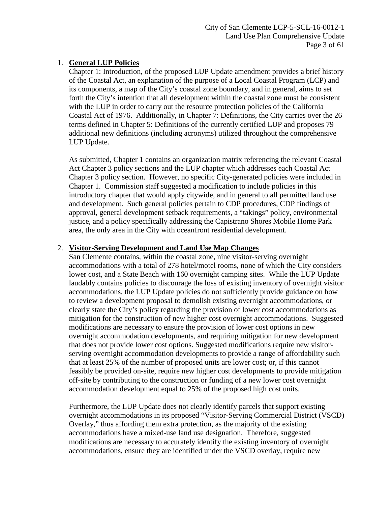# 1. **General LUP Policies**

Chapter 1: Introduction, of the proposed LUP Update amendment provides a brief history of the Coastal Act, an explanation of the purpose of a Local Coastal Program (LCP) and its components, a map of the City's coastal zone boundary, and in general, aims to set forth the City's intention that all development within the coastal zone must be consistent with the LUP in order to carry out the resource protection policies of the California Coastal Act of 1976. Additionally, in Chapter 7: Definitions, the City carries over the 26 terms defined in Chapter 5: Definitions of the currently certified LUP and proposes 79 additional new definitions (including acronyms) utilized throughout the comprehensive LUP Update.

As submitted, Chapter 1 contains an organization matrix referencing the relevant Coastal Act Chapter 3 policy sections and the LUP chapter which addresses each Coastal Act Chapter 3 policy section. However, no specific City-generated policies were included in Chapter 1. Commission staff suggested a modification to include policies in this introductory chapter that would apply citywide, and in general to all permitted land use and development. Such general policies pertain to CDP procedures, CDP findings of approval, general development setback requirements, a "takings" policy, environmental justice, and a policy specifically addressing the Capistrano Shores Mobile Home Park area, the only area in the City with oceanfront residential development.

# 2. **Visitor-Serving Development and Land Use Map Changes**

San Clemente contains, within the coastal zone, nine visitor-serving overnight accommodations with a total of 278 hotel/motel rooms, none of which the City considers lower cost, and a State Beach with 160 overnight camping sites. While the LUP Update laudably contains policies to discourage the loss of existing inventory of overnight visitor accommodations, the LUP Update policies do not sufficiently provide guidance on how to review a development proposal to demolish existing overnight accommodations, or clearly state the City's policy regarding the provision of lower cost accommodations as mitigation for the construction of new higher cost overnight accommodations. Suggested modifications are necessary to ensure the provision of lower cost options in new overnight accommodation developments, and requiring mitigation for new development that does not provide lower cost options. Suggested modifications require new visitorserving overnight accommodation developments to provide a range of affordability such that at least 25% of the number of proposed units are lower cost; or, if this cannot feasibly be provided on-site, require new higher cost developments to provide mitigation off-site by contributing to the construction or funding of a new lower cost overnight accommodation development equal to 25% of the proposed high cost units.

Furthermore, the LUP Update does not clearly identify parcels that support existing overnight accommodations in its proposed "Visitor-Serving Commercial District (VSCD) Overlay," thus affording them extra protection, as the majority of the existing accommodations have a mixed-use land use designation. Therefore, suggested modifications are necessary to accurately identify the existing inventory of overnight accommodations, ensure they are identified under the VSCD overlay, require new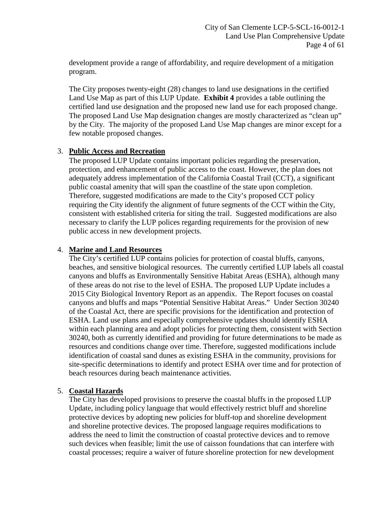development provide a range of affordability, and require development of a mitigation program.

The City proposes twenty-eight (28) changes to land use designations in the certified Land Use Map as part of this LUP Update. **[Exhibit 4](https://documents.coastal.ca.gov/reports/2018/2/Th12a/Th12a-2-2018-exhibits.pdf)** provides a table outlining the certified land use designation and the proposed new land use for each proposed change. The proposed Land Use Map designation changes are mostly characterized as "clean up" by the City. The majority of the proposed Land Use Map changes are minor except for a few notable proposed changes.

## 3. **Public Access and Recreation**

The proposed LUP Update contains important policies regarding the preservation, protection, and enhancement of public access to the coast. However, the plan does not adequately address implementation of the California Coastal Trail (CCT), a significant public coastal amenity that will span the coastline of the state upon completion. Therefore, suggested modifications are made to the City's proposed CCT policy requiring the City identify the alignment of future segments of the CCT within the City, consistent with established criteria for siting the trail. Suggested modifications are also necessary to clarify the LUP polices regarding requirements for the provision of new public access in new development projects.

# 4. **Marine and Land Resources**

The City's certified LUP contains policies for protection of coastal bluffs, canyons, beaches, and sensitive biological resources. The currently certified LUP labels all coastal canyons and bluffs as Environmentally Sensitive Habitat Areas (ESHA), although many of these areas do not rise to the level of ESHA. The proposed LUP Update includes a 2015 City Biological Inventory Report as an appendix. The Report focuses on coastal canyons and bluffs and maps "Potential Sensitive Habitat Areas." Under Section 30240 of the Coastal Act, there are specific provisions for the identification and protection of ESHA. Land use plans and especially comprehensive updates should identify ESHA within each planning area and adopt policies for protecting them, consistent with Section 30240, both as currently identified and providing for future determinations to be made as resources and conditions change over time. Therefore, suggested modifications include identification of coastal sand dunes as existing ESHA in the community, provisions for site-specific determinations to identify and protect ESHA over time and for protection of beach resources during beach maintenance activities.

## 5. **Coastal Hazards**

The City has developed provisions to preserve the coastal bluffs in the proposed LUP Update, including policy language that would effectively restrict bluff and shoreline protective devices by adopting new policies for bluff-top and shoreline development and shoreline protective devices. The proposed language requires modifications to address the need to limit the construction of coastal protective devices and to remove such devices when feasible; limit the use of caisson foundations that can interfere with coastal processes; require a waiver of future shoreline protection for new development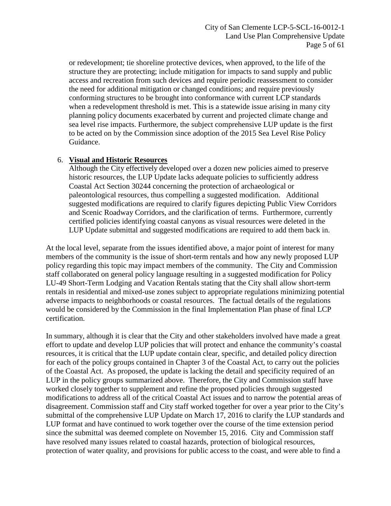or redevelopment; tie shoreline protective devices, when approved, to the life of the structure they are protecting; include mitigation for impacts to sand supply and public access and recreation from such devices and require periodic reassessment to consider the need for additional mitigation or changed conditions; and require previously conforming structures to be brought into conformance with current LCP standards when a redevelopment threshold is met. This is a statewide issue arising in many city planning policy documents exacerbated by current and projected climate change and sea level rise impacts. Furthermore, the subject comprehensive LUP update is the first to be acted on by the Commission since adoption of the 2015 Sea Level Rise Policy Guidance.

#### 6. **Visual and Historic Resources**

Although the City effectively developed over a dozen new policies aimed to preserve historic resources, the LUP Update lacks adequate policies to sufficiently address Coastal Act Section 30244 concerning the protection of archaeological or paleontological resources, thus compelling a suggested modification. Additional suggested modifications are required to clarify figures depicting Public View Corridors and Scenic Roadway Corridors, and the clarification of terms. Furthermore, currently certified policies identifying coastal canyons as visual resources were deleted in the LUP Update submittal and suggested modifications are required to add them back in.

At the local level, separate from the issues identified above, a major point of interest for many members of the community is the issue of short-term rentals and how any newly proposed LUP policy regarding this topic may impact members of the community. The City and Commission staff collaborated on general policy language resulting in a suggested modification for Policy LU-49 Short-Term Lodging and Vacation Rentals stating that the City shall allow short-term rentals in residential and mixed-use zones subject to appropriate regulations minimizing potential adverse impacts to neighborhoods or coastal resources. The factual details of the regulations would be considered by the Commission in the final Implementation Plan phase of final LCP certification.

In summary, although it is clear that the City and other stakeholders involved have made a great effort to update and develop LUP policies that will protect and enhance the community's coastal resources, it is critical that the LUP update contain clear, specific, and detailed policy direction for each of the policy groups contained in Chapter 3 of the Coastal Act, to carry out the policies of the Coastal Act. As proposed, the update is lacking the detail and specificity required of an LUP in the policy groups summarized above. Therefore, the City and Commission staff have worked closely together to supplement and refine the proposed policies through suggested modifications to address all of the critical Coastal Act issues and to narrow the potential areas of disagreement. Commission staff and City staff worked together for over a year prior to the City's submittal of the comprehensive LUP Update on March 17, 2016 to clarify the LUP standards and LUP format and have continued to work together over the course of the time extension period since the submittal was deemed complete on November 15, 2016. City and Commission staff have resolved many issues related to coastal hazards, protection of biological resources, protection of water quality, and provisions for public access to the coast, and were able to find a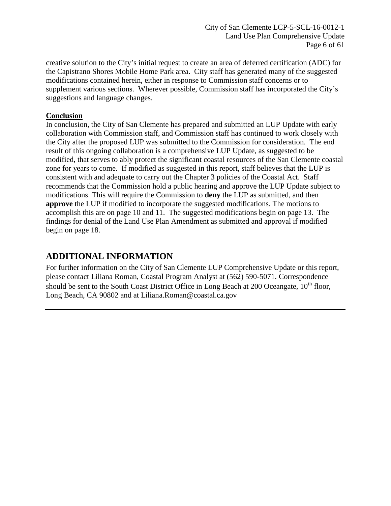City of San Clemente LCP-5-SCL-16-0012-1 Land Use Plan Comprehensive Update Page 6 of 61

creative solution to the City's initial request to create an area of deferred certification (ADC) for the Capistrano Shores Mobile Home Park area. City staff has generated many of the suggested modifications contained herein, either in response to Commission staff concerns or to supplement various sections. Wherever possible, Commission staff has incorporated the City's suggestions and language changes.

## **Conclusion**

In conclusion, the City of San Clemente has prepared and submitted an LUP Update with early collaboration with Commission staff, and Commission staff has continued to work closely with the City after the proposed LUP was submitted to the Commission for consideration. The end result of this ongoing collaboration is a comprehensive LUP Update, as suggested to be modified, that serves to ably protect the significant coastal resources of the San Clemente coastal zone for years to come. If modified as suggested in this report, staff believes that the LUP is consistent with and adequate to carry out the Chapter 3 policies of the Coastal Act. Staff recommends that the Commission hold a public hearing and approve the LUP Update subject to modifications. This will require the Commission to **deny** the LUP as submitted, and then **approve** the LUP if modified to incorporate the suggested modifications. The motions to accomplish this are on page 10 and 11. The suggested modifications begin on page 13. The findings for denial of the Land Use Plan Amendment as submitted and approval if modified begin on page 18.

# <span id="page-5-0"></span>**ADDITIONAL INFORMATION**

For further information on the City of San Clemente LUP Comprehensive Update or this report, please contact Liliana Roman, Coastal Program Analyst at (562) 590-5071. Correspondence should be sent to the South Coast District Office in Long Beach at 200 Oceangate, 10<sup>th</sup> floor, Long Beach, CA 90802 and at [Liliana.Roman@coastal.ca.gov](mailto:Liliana.Roman@coastal.ca.gov)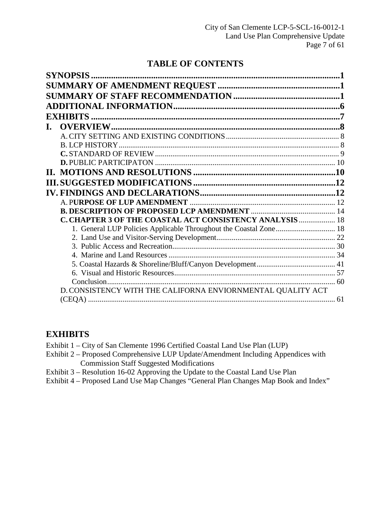# **TABLE OF CONTENTS**

| $\mathbf{L}$ |                                                                   |  |
|--------------|-------------------------------------------------------------------|--|
|              |                                                                   |  |
|              |                                                                   |  |
|              |                                                                   |  |
|              |                                                                   |  |
|              |                                                                   |  |
|              |                                                                   |  |
|              |                                                                   |  |
|              |                                                                   |  |
|              |                                                                   |  |
|              | <b>C. CHAPTER 3 OF THE COASTAL ACT CONSISTENCY ANALYSIS  18</b>   |  |
|              | 1. General LUP Policies Applicable Throughout the Coastal Zone 18 |  |
|              |                                                                   |  |
|              |                                                                   |  |
|              |                                                                   |  |
|              |                                                                   |  |
|              |                                                                   |  |
|              |                                                                   |  |
|              | D. CONSISTENCY WITH THE CALIFORNA ENVIORNMENTAL QUALITY ACT       |  |
|              |                                                                   |  |

# <span id="page-6-0"></span>**EXHIBITS**

- Exhibit 1 City of San Clemente 1996 Certified Coastal Land Use Plan (LUP)
- Exhibit 2 Proposed Comprehensive LUP Update/Amendment Including Appendices with Commission Staff Suggested Modifications
- [Exhibit 3 Resolution 16-02 Approving the Update to the Coastal Land Use Plan](https://documents.coastal.ca.gov/reports/2018/2/Th12a/Th12a-2-2018-exhibits.pdf)
- Exhibit 4 Proposed Land Use Map Changes "General Plan Changes Map Book and Index"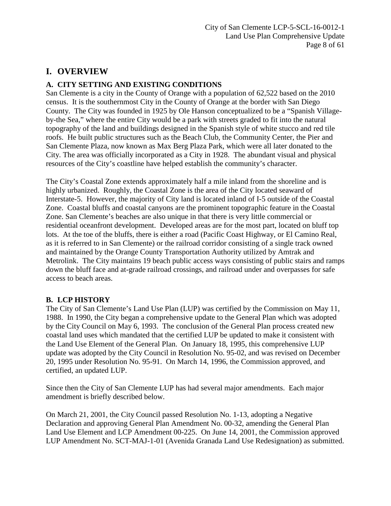# <span id="page-7-0"></span>**I. OVERVIEW**

# <span id="page-7-1"></span>**A. CITY SETTING AND EXISTING CONDITIONS**

San Clemente is a city in the County of Orange with a population of 62,522 based on the 2010 census. It is the southernmost City in the County of Orange at the border with San Diego County. The City was founded in 1925 by Ole Hanson conceptualized to be a "Spanish Villageby-the Sea," where the entire City would be a park with streets graded to fit into the natural topography of the land and buildings designed in the Spanish style of white stucco and red tile roofs. He built public structures such as the Beach Club, the Community Center, the Pier and San Clemente Plaza, now known as Max Berg Plaza Park, which were all later donated to the City. The area was officially incorporated as a City in 1928. The abundant visual and physical resources of the City's coastline have helped establish the community's character.

The City's Coastal Zone extends approximately half a mile inland from the shoreline and is highly urbanized. Roughly, the Coastal Zone is the area of the City located seaward of Interstate-5. However, the majority of City land is located inland of I-5 outside of the Coastal Zone. Coastal bluffs and coastal canyons are the prominent topographic feature in the Coastal Zone. San Clemente's beaches are also unique in that there is very little commercial or residential oceanfront development. Developed areas are for the most part, located on bluff top lots. At the toe of the bluffs, there is either a road (Pacific Coast Highway, or El Camino Real, as it is referred to in San Clemente) or the railroad corridor consisting of a single track owned and maintained by the Orange County Transportation Authority utilized by Amtrak and Metrolink. The City maintains 19 beach public access ways consisting of public stairs and ramps down the bluff face and at-grade railroad crossings, and railroad under and overpasses for safe access to beach areas.

# <span id="page-7-2"></span>**B. LCP HISTORY**

The City of San Clemente's Land Use Plan (LUP) was certified by the Commission on May 11, 1988. In 1990, the City began a comprehensive update to the General Plan which was adopted by the City Council on May 6, 1993. The conclusion of the General Plan process created new coastal land uses which mandated that the certified LUP be updated to make it consistent with the Land Use Element of the General Plan. On January 18, 1995, this comprehensive LUP update was adopted by the City Council in Resolution No. 95-02, and was revised on December 20, 1995 under Resolution No. 95-91. On March 14, 1996, the Commission approved, and certified, an updated LUP.

Since then the City of San Clemente LUP has had several major amendments. Each major amendment is briefly described below.

On March 21, 2001, the City Council passed Resolution No. 1-13, adopting a Negative Declaration and approving General Plan Amendment No. 00-32, amending the General Plan Land Use Element and LCP Amendment 00-225. On June 14, 2001, the Commission approved LUP Amendment No. SCT-MAJ-1-01 (Avenida Granada Land Use Redesignation) as submitted.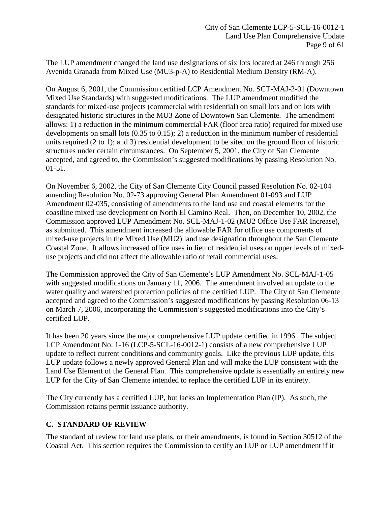The LUP amendment changed the land use designations of six lots located at 246 through 256 Avenida Granada from Mixed Use (MU3-p-A) to Residential Medium Density (RM-A).

On August 6, 2001, the Commission certified LCP Amendment No. SCT-MAJ-2-01 (Downtown Mixed Use Standards) with suggested modifications. The LUP amendment modified the standards for mixed-use projects (commercial with residential) on small lots and on lots with designated historic structures in the MU3 Zone of Downtown San Clemente. The amendment allows: 1) a reduction in the minimum commercial FAR (floor area ratio) required for mixed use developments on small lots (0.35 to 0.15); 2) a reduction in the minimum number of residential units required (2 to 1); and 3) residential development to be sited on the ground floor of historic structures under certain circumstances. On September 5, 2001, the City of San Clemente accepted, and agreed to, the Commission's suggested modifications by passing Resolution No. 01-51.

On November 6, 2002, the City of San Clemente City Council passed Resolution No. 02-104 amending Resolution No. 02-73 approving General Plan Amendment 01-093 and LUP Amendment 02-035, consisting of amendments to the land use and coastal elements for the coastline mixed use development on North El Camino Real. Then, on December 10, 2002, the Commission approved LUP Amendment No. SCL-MAJ-1-02 (MU2 Office Use FAR Increase), as submitted. This amendment increased the allowable FAR for office use components of mixed-use projects in the Mixed Use (MU2) land use designation throughout the San Clemente Coastal Zone. It allows increased office uses in lieu of residential uses on upper levels of mixeduse projects and did not affect the allowable ratio of retail commercial uses.

The Commission approved the City of San Clemente's LUP Amendment No. SCL-MAJ-1-05 with suggested modifications on January 11, 2006. The amendment involved an update to the water quality and watershed protection policies of the certified LUP. The City of San Clemente accepted and agreed to the Commission's suggested modifications by passing Resolution 06-13 on March 7, 2006, incorporating the Commission's suggested modifications into the City's certified LUP.

It has been 20 years since the major comprehensive LUP update certified in 1996. The subject LCP Amendment No. 1-16 (LCP-5-SCL-16-0012-1) consists of a new comprehensive LUP update to reflect current conditions and community goals. Like the previous LUP update, this LUP update follows a newly approved General Plan and will make the LUP consistent with the Land Use Element of the General Plan. This comprehensive update is essentially an entirely new LUP for the City of San Clemente intended to replace the certified LUP in its entirety.

The City currently has a certified LUP, but lacks an Implementation Plan (IP). As such, the Commission retains permit issuance authority.

## <span id="page-8-0"></span>**C. STANDARD OF REVIEW**

The standard of review for land use plans, or their amendments, is found in Section 30512 of the Coastal Act. This section requires the Commission to certify an LUP or LUP amendment if it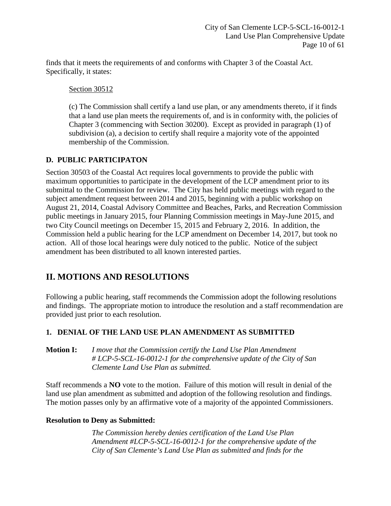finds that it meets the requirements of and conforms with Chapter 3 of the Coastal Act. Specifically, it states:

Section 30512

(c) The Commission shall certify a land use plan, or any amendments thereto, if it finds that a land use plan meets the requirements of, and is in conformity with, the policies of Chapter 3 (commencing with Section 30200). Except as provided in paragraph (1) of subdivision (a), a decision to certify shall require a majority vote of the appointed membership of the Commission.

# <span id="page-9-0"></span>**D. PUBLIC PARTICIPATON**

Section 30503 of the Coastal Act requires local governments to provide the public with maximum opportunities to participate in the development of the LCP amendment prior to its submittal to the Commission for review. The City has held public meetings with regard to the subject amendment request between 2014 and 2015, beginning with a public workshop on August 21, 2014, Coastal Advisory Committee and Beaches, Parks, and Recreation Commission public meetings in January 2015, four Planning Commission meetings in May-June 2015, and two City Council meetings on December 15, 2015 and February 2, 2016. In addition, the Commission held a public hearing for the LCP amendment on December 14, 2017, but took no action. All of those local hearings were duly noticed to the public. Notice of the subject amendment has been distributed to all known interested parties.

# <span id="page-9-1"></span>**II. MOTIONS AND RESOLUTIONS**

Following a public hearing, staff recommends the Commission adopt the following resolutions and findings. The appropriate motion to introduce the resolution and a staff recommendation are provided just prior to each resolution.

# **1. DENIAL OF THE LAND USE PLAN AMENDMENT AS SUBMITTED**

**Motion I:** *I move that the Commission certify the Land Use Plan Amendment # LCP-5-SCL-16-0012-1 for the comprehensive update of the City of San Clemente Land Use Plan as submitted.*

Staff recommends a **NO** vote to the motion. Failure of this motion will result in denial of the land use plan amendment as submitted and adoption of the following resolution and findings. The motion passes only by an affirmative vote of a majority of the appointed Commissioners.

## **Resolution to Deny as Submitted:**

*The Commission hereby denies certification of the Land Use Plan Amendment #LCP-5-SCL-16-0012-1 for the comprehensive update of the City of San Clemente's Land Use Plan as submitted and finds for the*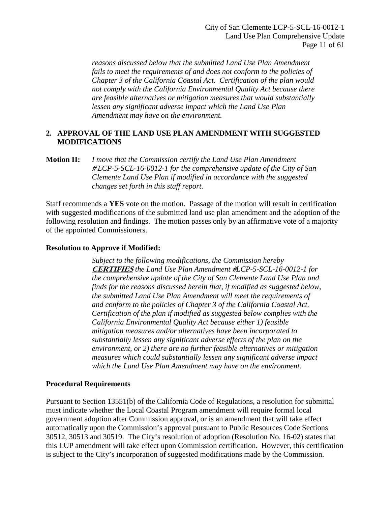*reasons discussed below that the submitted Land Use Plan Amendment fails to meet the requirements of and does not conform to the policies of Chapter 3 of the California Coastal Act. Certification of the plan would not comply with the California Environmental Quality Act because there are feasible alternatives or mitigation measures that would substantially lessen any significant adverse impact which the Land Use Plan Amendment may have on the environment.* 

## **2. APPROVAL OF THE LAND USE PLAN AMENDMENT WITH SUGGESTED MODIFICATIONS**

## **Motion II:** *I move that the Commission certify the Land Use Plan Amendment* **#** *LCP-5-SCL-16-0012-1 for the comprehensive update of the City of San Clemente Land Use Plan if modified in accordance with the suggested changes set forth in this staff report.*

Staff recommends a **YES** vote on the motion. Passage of the motion will result in certification with suggested modifications of the submitted land use plan amendment and the adoption of the following resolution and findings. The motion passes only by an affirmative vote of a majority of the appointed Commissioners.

## **Resolution to Approve if Modified:**

*Subject to the following modifications, the Commission hereby*  **CERTIFIES** *the Land Use Plan Amendment* **#***LCP-5-SCL-16-0012-1 for the comprehensive update of the City of San Clemente Land Use Plan and finds for the reasons discussed herein that, if modified as suggested below, the submitted Land Use Plan Amendment will meet the requirements of and conform to the policies of Chapter 3 of the California Coastal Act. Certification of the plan if modified as suggested below complies with the California Environmental Quality Act because either 1) feasible mitigation measures and/or alternatives have been incorporated to substantially lessen any significant adverse effects of the plan on the environment, or 2) there are no further feasible alternatives or mitigation measures which could substantially lessen any significant adverse impact which the Land Use Plan Amendment may have on the environment.* 

#### **Procedural Requirements**

Pursuant to Section 13551(b) of the California Code of Regulations, a resolution for submittal must indicate whether the Local Coastal Program amendment will require formal local government adoption after Commission approval, or is an amendment that will take effect automatically upon the Commission's approval pursuant to Public Resources Code Sections 30512, 30513 and 30519. The City's resolution of adoption (Resolution No. 16-02) states that this LUP amendment will take effect upon Commission certification. However, this certification is subject to the City's incorporation of suggested modifications made by the Commission.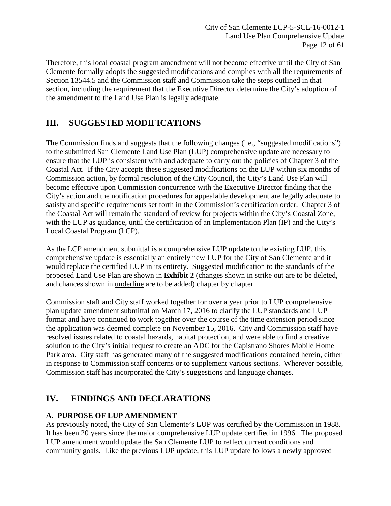City of San Clemente LCP-5-SCL-16-0012-1 Land Use Plan Comprehensive Update Page 12 of 61

Therefore, this local coastal program amendment will not become effective until the City of San Clemente formally adopts the suggested modifications and complies with all the requirements of Section 13544.5 and the Commission staff and Commission take the steps outlined in that section, including the requirement that the Executive Director determine the City's adoption of the amendment to the Land Use Plan is legally adequate.

# <span id="page-11-0"></span>**III. SUGGESTED MODIFICATIONS**

The Commission finds and suggests that the following changes (i.e., "suggested modifications") to the submitted San Clemente Land Use Plan (LUP) comprehensive update are necessary to ensure that the LUP is consistent with and adequate to carry out the policies of Chapter 3 of the Coastal Act. If the City accepts these suggested modifications on the LUP within six months of Commission action, by formal resolution of the City Council, the City's Land Use Plan will become effective upon Commission concurrence with the Executive Director finding that the City's action and the notification procedures for appealable development are legally adequate to satisfy and specific requirements set forth in the Commission's certification order. Chapter 3 of the Coastal Act will remain the standard of review for projects within the City's Coastal Zone, with the LUP as guidance, until the certification of an Implementation Plan (IP) and the City's Local Coastal Program (LCP).

As the LCP amendment submittal is a comprehensive LUP update to the existing LUP, this comprehensive update is essentially an entirely new LUP for the City of San Clemente and it would replace the certified LUP in its entirety. Suggested modification to the standards of the proposed Land Use Plan are shown in **[Exhibit 2](https://documents.coastal.ca.gov/reports/2018/2/Th12a/Th12a-2-2018-exhibits.pdf)** (changes shown in strike out are to be deleted, and chances shown in underline are to be added) chapter by chapter.

Commission staff and City staff worked together for over a year prior to LUP comprehensive plan update amendment submittal on March 17, 2016 to clarify the LUP standards and LUP format and have continued to work together over the course of the time extension period since the application was deemed complete on November 15, 2016. City and Commission staff have resolved issues related to coastal hazards, habitat protection, and were able to find a creative solution to the City's initial request to create an ADC for the Capistrano Shores Mobile Home Park area. City staff has generated many of the suggested modifications contained herein, either in response to Commission staff concerns or to supplement various sections. Wherever possible, Commission staff has incorporated the City's suggestions and language changes.

# <span id="page-11-1"></span>**IV. FINDINGS AND DECLARATIONS**

## <span id="page-11-2"></span>**A. PURPOSE OF LUP AMENDMENT**

As previously noted, the City of San Clemente's LUP was certified by the Commission in 1988. It has been 20 years since the major comprehensive LUP update certified in 1996. The proposed LUP amendment would update the San Clemente LUP to reflect current conditions and community goals. Like the previous LUP update, this LUP update follows a newly approved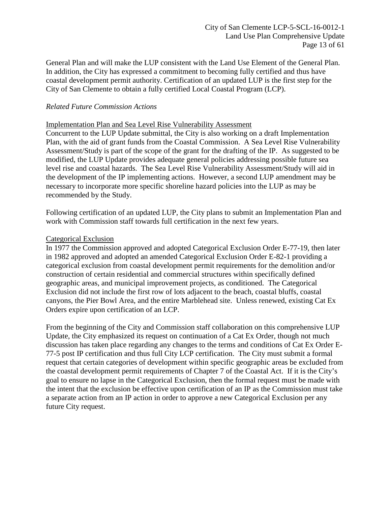General Plan and will make the LUP consistent with the Land Use Element of the General Plan. In addition, the City has expressed a commitment to becoming fully certified and thus have coastal development permit authority. Certification of an updated LUP is the first step for the City of San Clemente to obtain a fully certified Local Coastal Program (LCP).

## *Related Future Commission Actions*

## Implementation Plan and Sea Level Rise Vulnerability Assessment

Concurrent to the LUP Update submittal, the City is also working on a draft Implementation Plan, with the aid of grant funds from the Coastal Commission. A Sea Level Rise Vulnerability Assessment/Study is part of the scope of the grant for the drafting of the IP. As suggested to be modified, the LUP Update provides adequate general policies addressing possible future sea level rise and coastal hazards. The Sea Level Rise Vulnerability Assessment/Study will aid in the development of the IP implementing actions. However, a second LUP amendment may be necessary to incorporate more specific shoreline hazard policies into the LUP as may be recommended by the Study.

Following certification of an updated LUP, the City plans to submit an Implementation Plan and work with Commission staff towards full certification in the next few years.

#### Categorical Exclusion

In 1977 the Commission approved and adopted Categorical Exclusion Order E-77-19, then later in 1982 approved and adopted an amended Categorical Exclusion Order E-82-1 providing a categorical exclusion from coastal development permit requirements for the demolition and/or construction of certain residential and commercial structures within specifically defined geographic areas, and municipal improvement projects, as conditioned. The Categorical Exclusion did not include the first row of lots adjacent to the beach, coastal bluffs, coastal canyons, the Pier Bowl Area, and the entire Marblehead site. Unless renewed, existing Cat Ex Orders expire upon certification of an LCP.

From the beginning of the City and Commission staff collaboration on this comprehensive LUP Update, the City emphasized its request on continuation of a Cat Ex Order, though not much discussion has taken place regarding any changes to the terms and conditions of Cat Ex Order E-77-5 post IP certification and thus full City LCP certification. The City must submit a formal request that certain categories of development within specific geographic areas be excluded from the coastal development permit requirements of Chapter 7 of the Coastal Act. If it is the City's goal to ensure no lapse in the Categorical Exclusion, then the formal request must be made with the intent that the exclusion be effective upon certification of an IP as the Commission must take a separate action from an IP action in order to approve a new Categorical Exclusion per any future City request.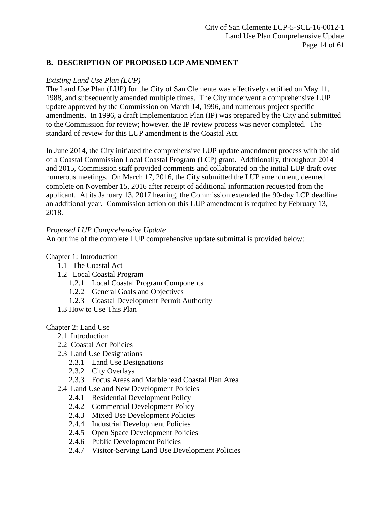# <span id="page-13-0"></span>**B. DESCRIPTION OF PROPOSED LCP AMENDMENT**

## *Existing Land Use Plan (LUP)*

The Land Use Plan (LUP) for the City of San Clemente was effectively certified on May 11, 1988, and subsequently amended multiple times. The City underwent a comprehensive LUP update approved by the Commission on March 14, 1996, and numerous project specific amendments. In 1996, a draft Implementation Plan (IP) was prepared by the City and submitted to the Commission for review; however, the IP review process was never completed. The standard of review for this LUP amendment is the Coastal Act.

In June 2014, the City initiated the comprehensive LUP update amendment process with the aid of a Coastal Commission Local Coastal Program (LCP) grant. Additionally, throughout 2014 and 2015, Commission staff provided comments and collaborated on the initial LUP draft over numerous meetings. On March 17, 2016, the City submitted the LUP amendment, deemed complete on November 15, 2016 after receipt of additional information requested from the applicant. At its January 13, 2017 hearing, the Commission extended the 90-day LCP deadline an additional year. Commission action on this LUP amendment is required by February 13, 2018.

## *Proposed LUP Comprehensive Update*

An outline of the complete LUP comprehensive update submittal is provided below:

#### Chapter 1: Introduction

- 1.1 The Coastal Act
- 1.2 Local Coastal Program
	- 1.2.1 Local Coastal Program Components
	- 1.2.2 General Goals and Objectives
	- 1.2.3 Coastal Development Permit Authority
- 1.3 How to Use This Plan

#### Chapter 2: Land Use

- 2.1 Introduction
- 2.2 Coastal Act Policies
- 2.3 Land Use Designations
	- 2.3.1 Land Use Designations
	- 2.3.2 City Overlays
	- 2.3.3 Focus Areas and Marblehead Coastal Plan Area
- 2.4 Land Use and New Development Policies
	- 2.4.1 Residential Development Policy
	- 2.4.2 Commercial Development Policy
	- 2.4.3 Mixed Use Development Policies
	- 2.4.4 Industrial Development Policies
	- 2.4.5 Open Space Development Policies
	- 2.4.6 Public Development Policies
	- 2.4.7 Visitor-Serving Land Use Development Policies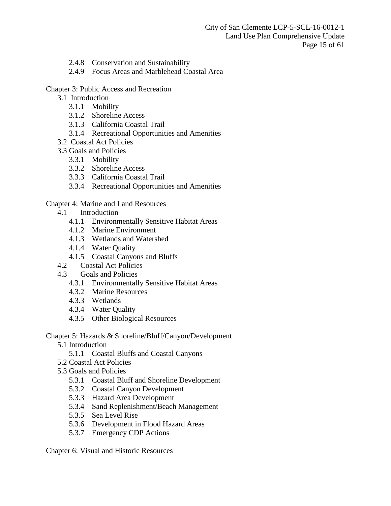City of San Clemente LCP-5-SCL-16-0012-1 Land Use Plan Comprehensive Update Page 15 of 61

- 2.4.8 Conservation and Sustainability
- 2.4.9 Focus Areas and Marblehead Coastal Area

#### Chapter 3: Public Access and Recreation

- 3.1 Introduction
	- 3.1.1 Mobility
	- 3.1.2 Shoreline Access
	- 3.1.3 California Coastal Trail
	- 3.1.4 Recreational Opportunities and Amenities
- 3.2 Coastal Act Policies
- 3.3 Goals and Policies
	- 3.3.1 Mobility
	- 3.3.2 Shoreline Access
	- 3.3.3 California Coastal Trail
	- 3.3.4 Recreational Opportunities and Amenities

## Chapter 4: Marine and Land Resources

- 4.1 Introduction
	- 4.1.1 Environmentally Sensitive Habitat Areas
	- 4.1.2 Marine Environment
	- 4.1.3 Wetlands and Watershed
	- 4.1.4 Water Quality
	- 4.1.5 Coastal Canyons and Bluffs
- 4.2 Coastal Act Policies
- 4.3 Goals and Policies
	- 4.3.1 Environmentally Sensitive Habitat Areas
	- 4.3.2 Marine Resources
	- 4.3.3 Wetlands
	- 4.3.4 Water Quality
	- 4.3.5 Other Biological Resources

Chapter 5: Hazards & Shoreline/Bluff/Canyon/Development

- 5.1 Introduction
	- 5.1.1 Coastal Bluffs and Coastal Canyons
- 5.2 Coastal Act Policies
- 5.3 Goals and Policies
	- 5.3.1 Coastal Bluff and Shoreline Development
	- 5.3.2 Coastal Canyon Development
	- 5.3.3 Hazard Area Development
	- 5.3.4 Sand Replenishment/Beach Management
	- 5.3.5 Sea Level Rise
	- 5.3.6 Development in Flood Hazard Areas
	- 5.3.7 Emergency CDP Actions

Chapter 6: Visual and Historic Resources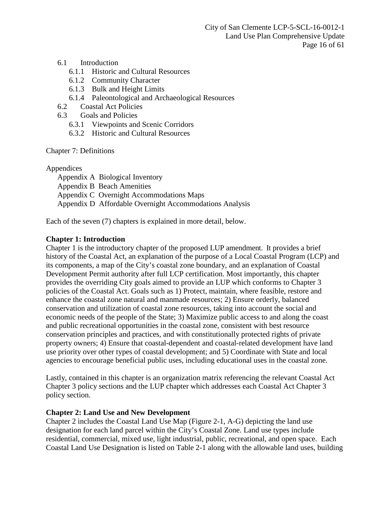City of San Clemente LCP-5-SCL-16-0012-1 Land Use Plan Comprehensive Update Page 16 of 61

## 6.1 Introduction

- 6.1.1 Historic and Cultural Resources
- 6.1.2 Community Character
- 6.1.3 Bulk and Height Limits
- 6.1.4 Paleontological and Archaeological Resources
- 6.2 Coastal Act Policies
- 6.3 Goals and Policies
	- 6.3.1 Viewpoints and Scenic Corridors
	- 6.3.2 Historic and Cultural Resources

#### Chapter 7: Definitions

Appendices

Appendix A Biological Inventory Appendix B Beach Amenities Appendix C Overnight Accommodations Maps Appendix D Affordable Overnight Accommodations Analysis

Each of the seven (7) chapters is explained in more detail, below.

## **Chapter 1: Introduction**

Chapter 1 is the introductory chapter of the proposed LUP amendment. It provides a brief history of the Coastal Act, an explanation of the purpose of a Local Coastal Program (LCP) and its components, a map of the City's coastal zone boundary, and an explanation of Coastal Development Permit authority after full LCP certification. Most importantly, this chapter provides the overriding City goals aimed to provide an LUP which conforms to Chapter 3 policies of the Coastal Act. Goals such as 1) Protect, maintain, where feasible, restore and enhance the coastal zone natural and manmade resources; 2) Ensure orderly, balanced conservation and utilization of coastal zone resources, taking into account the social and economic needs of the people of the State; 3) Maximize public access to and along the coast and public recreational opportunities in the coastal zone, consistent with best resource conservation principles and practices, and with constitutionally protected rights of private property owners; 4) Ensure that coastal-dependent and coastal-related development have land use priority over other types of coastal development; and 5) Coordinate with State and local agencies to encourage beneficial public uses, including educational uses in the coastal zone.

Lastly, contained in this chapter is an organization matrix referencing the relevant Coastal Act Chapter 3 policy sections and the LUP chapter which addresses each Coastal Act Chapter 3 policy section.

#### **Chapter 2: Land Use and New Development**

Chapter 2 includes the Coastal Land Use Map (Figure 2-1, A-G) depicting the land use designation for each land parcel within the City's Coastal Zone. Land use types include residential, commercial, mixed use, light industrial, public, recreational, and open space. Each Coastal Land Use Designation is listed on Table 2-1 along with the allowable land uses, building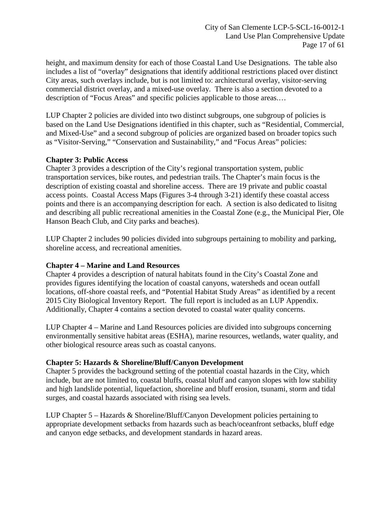height, and maximum density for each of those Coastal Land Use Designations. The table also includes a list of "overlay" designations that identify additional restrictions placed over distinct City areas, such overlays include, but is not limited to: architectural overlay, visitor-serving commercial district overlay, and a mixed-use overlay. There is also a section devoted to a description of "Focus Areas" and specific policies applicable to those areas.…

LUP Chapter 2 policies are divided into two distinct subgroups, one subgroup of policies is based on the Land Use Designations identified in this chapter, such as "Residential, Commercial, and Mixed-Use" and a second subgroup of policies are organized based on broader topics such as "Visitor-Serving," "Conservation and Sustainability," and "Focus Areas" policies:

## **Chapter 3: Public Access**

Chapter 3 provides a description of the City's regional transportation system, public transportation services, bike routes, and pedestrian trails. The Chapter's main focus is the description of existing coastal and shoreline access. There are 19 private and public coastal access points. Coastal Access Maps (Figures 3-4 through 3-21) identify these coastal access points and there is an accompanying description for each. A section is also dedicated to lisitng and describing all public recreational amenities in the Coastal Zone (e.g., the Municipal Pier, Ole Hanson Beach Club, and City parks and beaches).

LUP Chapter 2 includes 90 policies divided into subgroups pertaining to mobility and parking, shoreline access, and recreational amenities.

## **Chapter 4 – Marine and Land Resources**

Chapter 4 provides a description of natural habitats found in the City's Coastal Zone and provides figures identifying the location of coastal canyons, watersheds and ocean outfall locations, off-shore coastal reefs, and "Potential Habitat Study Areas" as identified by a recent 2015 City Biological Inventory Report. The full report is included as an LUP Appendix. Additionally, Chapter 4 contains a section devoted to coastal water quality concerns.

LUP Chapter 4 – Marine and Land Resources policies are divided into subgroups concerning environmentally sensitive habitat areas (ESHA), marine resources, wetlands, water quality, and other biological resource areas such as coastal canyons.

## **Chapter 5: Hazards & Shoreline/Bluff/Canyon Development**

Chapter 5 provides the background setting of the potential coastal hazards in the City, which include, but are not limited to, coastal bluffs, coastal bluff and canyon slopes with low stability and high landslide potential, liquefaction, shoreline and bluff erosion, tsunami, storm and tidal surges, and coastal hazards associated with rising sea levels.

LUP Chapter 5 – Hazards & Shoreline/Bluff/Canyon Development policies pertaining to appropriate development setbacks from hazards such as beach/oceanfront setbacks, bluff edge and canyon edge setbacks, and development standards in hazard areas.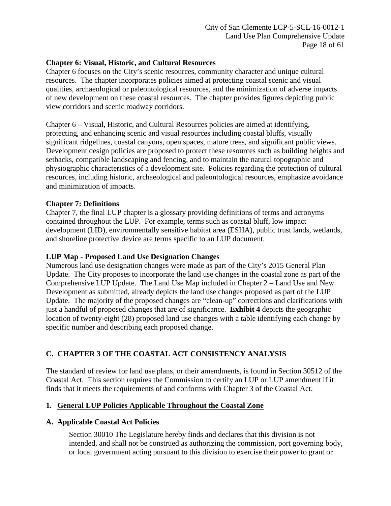## **Chapter 6: Visual, Historic, and Cultural Resources**

Chapter 6 focuses on the City's scenic resources, community character and unique cultural resources. The chapter incorporates policies aimed at protecting coastal scenic and visual qualities, archaeological or paleontological resources, and the minimization of adverse impacts of new development on these coastal resources. The chapter provides figures depicting public view corridors and scenic roadway corridors.

Chapter 6 – Visual, Historic, and Cultural Resources policies are aimed at identifying, protecting, and enhancing scenic and visual resources including coastal bluffs, visually significant ridgelines, coastal canyons, open spaces, mature trees, and significant public views. Development design policies are proposed to protect these resources such as building heights and setbacks, compatible landscaping and fencing, and to maintain the natural topographic and physiographic characteristics of a development site. Policies regarding the protection of cultural resources, including historic, archaeological and paleontological resources, emphasize avoidance and minimization of impacts.

## **Chapter 7: Definitions**

Chapter 7, the final LUP chapter is a glossary providing definitions of terms and acronyms contained throughout the LUP. For example, terms such as coastal bluff, low impact development (LID), environmentally sensitive habitat area (ESHA), public trust lands, wetlands, and shoreline protective device are terms specific to an LUP document.

## **LUP Map - Proposed Land Use Designation Changes**

Numerous land use designation changes were made as part of the City's 2015 General Plan Update. The City proposes to incorporate the land use changes in the coastal zone as part of the Comprehensive LUP Update. The Land Use Map included in Chapter 2 – Land Use and New Development as submitted, already depicts the land use changes proposed as part of the LUP Update. The majority of the proposed changes are "clean-up" corrections and clarifications with just a handful of proposed changes that are of significance. **[Exhibit](https://documents.coastal.ca.gov/reports/2018/2/Th12a/Th12a-2-2018-exhibits.pdf) 4** depicts the geographic location of twenty-eight (28) proposed land use changes with a table identifying each change by specific number and describing each proposed change.

## <span id="page-17-0"></span>**C. CHAPTER 3 OF THE COASTAL ACT CONSISTENCY ANALYSIS**

The standard of review for land use plans, or their amendments, is found in Section 30512 of the Coastal Act. This section requires the Commission to certify an LUP or LUP amendment if it finds that it meets the requirements of and conforms with Chapter 3 of the Coastal Act.

#### <span id="page-17-1"></span>**1. General LUP Policies Applicable Throughout the Coastal Zone**

#### **A. Applicable Coastal Act Policies**

Section 30010 The Legislature hereby finds and declares that this division is not intended, and shall not be construed as authorizing the commission, port governing body, or local government acting pursuant to this division to exercise their power to grant or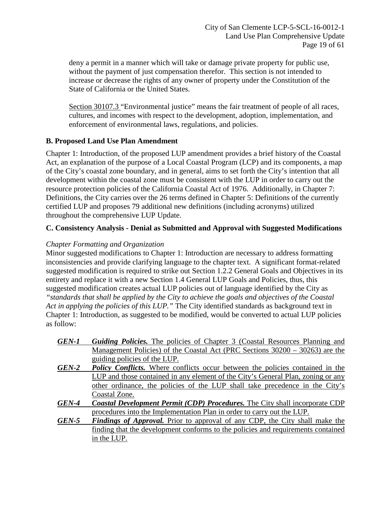deny a permit in a manner which will take or damage private property for public use, without the payment of just compensation therefor. This section is not intended to increase or decrease the rights of any owner of property under the Constitution of the State of California or the United States.

Section 30107.3 "Environmental justice" means the fair treatment of people of all races, cultures, and incomes with respect to the development, adoption, implementation, and enforcement of environmental laws, regulations, and policies.

## **B. Proposed Land Use Plan Amendment**

Chapter 1: Introduction, of the proposed LUP amendment provides a brief history of the Coastal Act, an explanation of the purpose of a Local Coastal Program (LCP) and its components, a map of the City's coastal zone boundary, and in general, aims to set forth the City's intention that all development within the coastal zone must be consistent with the LUP in order to carry out the resource protection policies of the California Coastal Act of 1976. Additionally, in Chapter 7: Definitions, the City carries over the 26 terms defined in Chapter 5: Definitions of the currently certified LUP and proposes 79 additional new definitions (including acronyms) utilized throughout the comprehensive LUP Update.

## **C. Consistency Analysis - Denial as Submitted and Approval with Suggested Modifications**

## *Chapter Formatting and Organization*

Minor suggested modifications to Chapter 1: Introduction are necessary to address formatting inconsistencies and provide clarifying language to the chapter text. A significant format-related suggested modification is required to strike out Section 1.2.2 General Goals and Objectives in its entirety and replace it with a new Section 1.4 General LUP Goals and Policies, thus, this suggested modification creates actual LUP policies out of language identified by the City as *"standards that shall be applied by the City to achieve the goals and objectives of the Coastal Act in applying the policies of this LUP."* The City identified standards as background text in Chapter 1: Introduction, as suggested to be modified, would be converted to actual LUP policies as follow:

| GEN-1 | <b>Guiding Policies.</b> The policies of Chapter 3 (Coastal Resources Planning and   |
|-------|--------------------------------------------------------------------------------------|
|       | Management Policies) of the Coastal Act (PRC Sections $30200 - 30263$ ) are the      |
|       | guiding policies of the LUP.                                                         |
| GEN-2 | <b>Policy Conflicts.</b> Where conflicts occur between the policies contained in the |
|       | LUP and those contained in any element of the City's General Plan, zoning or any     |
|       | other ordinance, the policies of the LUP shall take precedence in the City's         |
|       | Coastal Zone.                                                                        |
| GEN-4 | <b>Coastal Development Permit (CDP) Procedures.</b> The City shall incorporate CDP   |
|       | procedures into the Implementation Plan in order to carry out the LUP.               |
| GEN-5 | <b>Findings of Approval.</b> Prior to approval of any CDP, the City shall make the   |
|       | finding that the development conforms to the policies and requirements contained     |
|       | in the LUP.                                                                          |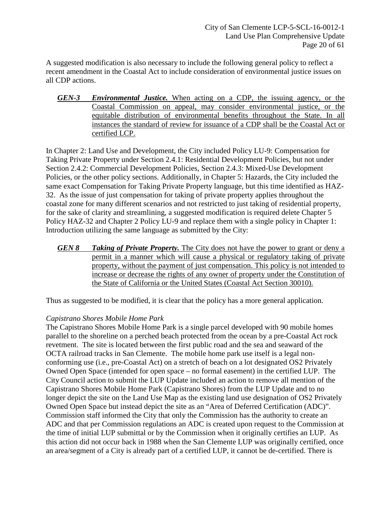A suggested modification is also necessary to include the following general policy to reflect a recent amendment in the Coastal Act to include consideration of environmental justice issues on all CDP actions.

*GEN-3 Environmental Justice.* When acting on a CDP, the issuing agency, or the Coastal Commission on appeal, may consider environmental justice, or the equitable distribution of environmental benefits throughout the State. In all instances the standard of review for issuance of a CDP shall be the Coastal Act or certified LCP.

In Chapter 2: Land Use and Development, the City included Policy LU-9: Compensation for Taking Private Property under Section 2.4.1: Residential Development Policies, but not under Section 2.4.2: Commercial Development Policies, Section 2.4.3: Mixed-Use Development Policies, or the other policy sections. Additionally, in Chapter 5: Hazards, the City included the same exact Compensation for Taking Private Property language, but this time identified as HAZ-32. As the issue of just compensation for taking of private property applies throughout the coastal zone for many different scenarios and not restricted to just taking of residential property, for the sake of clarity and streamlining, a suggested modification is required delete Chapter 5 Policy HAZ-32 and Chapter 2 Policy LU-9 and replace them with a single policy in Chapter 1: Introduction utilizing the same language as submitted by the City:

*GEN 8 Taking of Private Property.* The City does not have the power to grant or deny a permit in a manner which will cause a physical or regulatory taking of private property, without the payment of just compensation. This policy is not intended to increase or decrease the rights of any owner of property under the Constitution of the State of California or the United States (Coastal Act Section 30010).

Thus as suggested to be modified, it is clear that the policy has a more general application.

## *Capistrano Shores Mobile Home Park*

The Capistrano Shores Mobile Home Park is a single parcel developed with 90 mobile homes parallel to the shoreline on a perched beach protected from the ocean by a pre-Coastal Act rock revetment. The site is located between the first public road and the sea and seaward of the OCTA railroad tracks in San Clemente. The mobile home park use itself is a legal nonconforming use (i.e., pre-Coastal Act) on a stretch of beach on a lot designated OS2 Privately Owned Open Space (intended for open space – no formal easement) in the certified LUP. The City Council action to submit the LUP Update included an action to remove all mention of the Capistrano Shores Mobile Home Park (Capistrano Shores) from the LUP Update and to no longer depict the site on the Land Use Map as the existing land use designation of OS2 Privately Owned Open Space but instead depict the site as an "Area of Deferred Certification (ADC)". Commission staff informed the City that only the Commission has the authority to create an ADC and that per Commission regulations an ADC is created upon request to the Commission at the time of initial LUP submittal or by the Commission when it originally certifies an LUP. As this action did not occur back in 1988 when the San Clemente LUP was originally certified, once an area/segment of a City is already part of a certified LUP, it cannot be de-certified. There is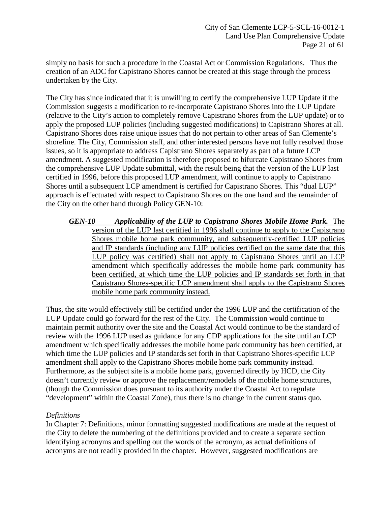simply no basis for such a procedure in the Coastal Act or Commission Regulations. Thus the creation of an ADC for Capistrano Shores cannot be created at this stage through the process undertaken by the City.

The City has since indicated that it is unwilling to certify the comprehensive LUP Update if the Commission suggests a modification to re-incorporate Capistrano Shores into the LUP Update (relative to the City's action to completely remove Capistrano Shores from the LUP update) or to apply the proposed LUP policies (including suggested modifications) to Capistrano Shores at all. Capistrano Shores does raise unique issues that do not pertain to other areas of San Clemente's shoreline. The City, Commission staff, and other interested persons have not fully resolved those issues, so it is appropriate to address Capistrano Shores separately as part of a future LCP amendment. A suggested modification is therefore proposed to bifurcate Capistrano Shores from the comprehensive LUP Update submittal, with the result being that the version of the LUP last certified in 1996, before this proposed LUP amendment, will continue to apply to Capistrano Shores until a subsequent LCP amendment is certified for Capistrano Shores. This "dual LUP" approach is effectuated with respect to Capistrano Shores on the one hand and the remainder of the City on the other hand through Policy GEN-10:

*GEN-10 Applicability of the LUP to Capistrano Shores Mobile Home Park.* The version of the LUP last certified in 1996 shall continue to apply to the Capistrano Shores mobile home park community, and subsequently-certified LUP policies and IP standards (including any LUP policies certified on the same date that this LUP policy was certified) shall not apply to Capistrano Shores until an LCP amendment which specifically addresses the mobile home park community has been certified, at which time the LUP policies and IP standards set forth in that Capistrano Shores-specific LCP amendment shall apply to the Capistrano Shores mobile home park community instead.

Thus, the site would effectively still be certified under the 1996 LUP and the certification of the LUP Update could go forward for the rest of the City. The Commission would continue to maintain permit authority over the site and the Coastal Act would continue to be the standard of review with the 1996 LUP used as guidance for any CDP applications for the site until an LCP amendment which specifically addresses the mobile home park community has been certified, at which time the LUP policies and IP standards set forth in that Capistrano Shores-specific LCP amendment shall apply to the Capistrano Shores mobile home park community instead. Furthermore, as the subject site is a mobile home park, governed directly by HCD, the City doesn't currently review or approve the replacement/remodels of the mobile home structures, (though the Commission does pursuant to its authority under the Coastal Act to regulate "development" within the Coastal Zone), thus there is no change in the current status quo.

## *Definitions*

In Chapter 7: Definitions, minor formatting suggested modifications are made at the request of the City to delete the numbering of the definitions provided and to create a separate section identifying acronyms and spelling out the words of the acronym, as actual definitions of acronyms are not readily provided in the chapter. However, suggested modifications are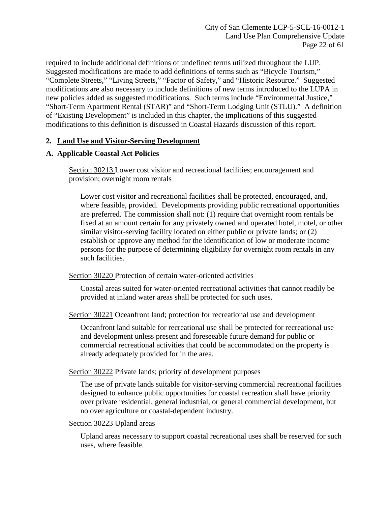required to include additional definitions of undefined terms utilized throughout the LUP. Suggested modifications are made to add definitions of terms such as "Bicycle Tourism," "Complete Streets," "Living Streets," "Factor of Safety," and "Historic Resource." Suggested modifications are also necessary to include definitions of new terms introduced to the LUPA in new policies added as suggested modifications. Such terms include "Environmental Justice," "Short-Term Apartment Rental (STAR)" and "Short-Term Lodging Unit (STLU)." A definition of "Existing Development" is included in this chapter, the implications of this suggested modifications to this definition is discussed in Coastal Hazards discussion of this report.

## <span id="page-21-0"></span>**2. Land Use and Visitor-Serving Development**

## **A. Applicable Coastal Act Policies**

Section 30213 Lower cost visitor and recreational facilities; encouragement and provision; overnight room rentals

Lower cost visitor and recreational facilities shall be protected, encouraged, and, where feasible, provided. Developments providing public recreational opportunities are preferred. The commission shall not: (1) require that overnight room rentals be fixed at an amount certain for any privately owned and operated hotel, motel, or other similar visitor-serving facility located on either public or private lands; or (2) establish or approve any method for the identification of low or moderate income persons for the purpose of determining eligibility for overnight room rentals in any such facilities.

Section 30220 Protection of certain water-oriented activities

Coastal areas suited for water-oriented recreational activities that cannot readily be provided at inland water areas shall be protected for such uses.

Section 30221 Oceanfront land; protection for recreational use and development

Oceanfront land suitable for recreational use shall be protected for recreational use and development unless present and foreseeable future demand for public or commercial recreational activities that could be accommodated on the property is already adequately provided for in the area.

Section 30222 Private lands; priority of development purposes

The use of private lands suitable for visitor-serving commercial recreational facilities designed to enhance public opportunities for coastal recreation shall have priority over private residential, general industrial, or general commercial development, but no over agriculture or coastal-dependent industry.

#### Section 30223 Upland areas

Upland areas necessary to support coastal recreational uses shall be reserved for such uses, where feasible.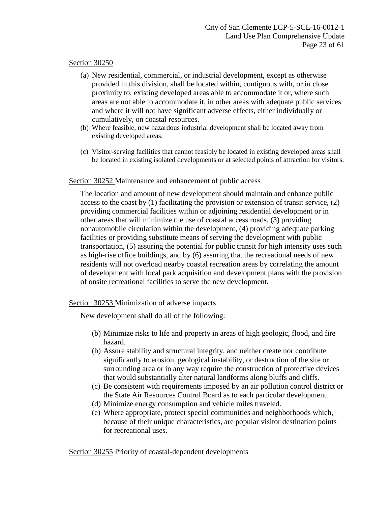## Section 30250

- (a) New residential, commercial, or industrial development, except as otherwise provided in this division, shall be located within, contiguous with, or in close proximity to, existing developed areas able to accommodate it or, where such areas are not able to accommodate it, in other areas with adequate public services and where it will not have significant adverse effects, either individually or cumulatively, on coastal resources.
- (b) Where feasible, new hazardous industrial development shall be located away from existing developed areas.
- (c) Visitor-serving facilities that cannot feasibly be located in existing developed areas shall be located in existing isolated developments or at selected points of attraction for visitors.

## Section 30252 Maintenance and enhancement of public access

The location and amount of new development should maintain and enhance public access to the coast by  $(1)$  facilitating the provision or extension of transit service,  $(2)$ providing commercial facilities within or adjoining residential development or in other areas that will minimize the use of coastal access roads, (3) providing nonautomobile circulation within the development, (4) providing adequate parking facilities or providing substitute means of serving the development with public transportation, (5) assuring the potential for public transit for high intensity uses such as high-rise office buildings, and by (6) assuring that the recreational needs of new residents will not overload nearby coastal recreation areas by correlating the amount of development with local park acquisition and development plans with the provision of onsite recreational facilities to serve the new development.

## Section 30253 Minimization of adverse impacts

New development shall do all of the following:

- (b) Minimize risks to life and property in areas of high geologic, flood, and fire hazard.
- (b) Assure stability and structural integrity, and neither create nor contribute significantly to erosion, geological instability, or destruction of the site or surrounding area or in any way require the construction of protective devices that would substantially alter natural landforms along bluffs and cliffs.
- (c) Be consistent with requirements imposed by an air pollution control district or the State Air Resources Control Board as to each particular development.
- (d) Minimize energy consumption and vehicle miles traveled.
- (e) Where appropriate, protect special communities and neighborhoods which, because of their unique characteristics, are popular visitor destination points for recreational uses.

Section 30255 Priority of coastal-dependent developments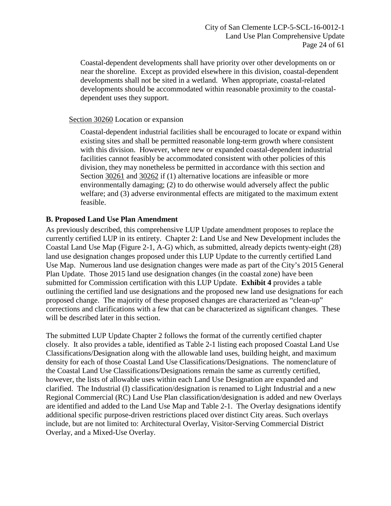Coastal-dependent developments shall have priority over other developments on or near the shoreline. Except as provided elsewhere in this division, coastal-dependent developments shall not be sited in a wetland. When appropriate, coastal-related developments should be accommodated within reasonable proximity to the coastaldependent uses they support.

## Section 30260 Location or expansion

Coastal-dependent industrial facilities shall be encouraged to locate or expand within existing sites and shall be permitted reasonable long-term growth where consistent with this division. However, where new or expanded coastal-dependent industrial facilities cannot feasibly be accommodated consistent with other policies of this division, they may nonetheless be permitted in accordance with this section and Section 30261 and 30262 if (1) alternative locations are infeasible or more environmentally damaging; (2) to do otherwise would adversely affect the public welfare; and (3) adverse environmental effects are mitigated to the maximum extent feasible.

# **B. Proposed Land Use Plan Amendment**

As previously described, this comprehensive LUP Update amendment proposes to replace the currently certified LUP in its entirety. Chapter 2: Land Use and New Development includes the Coastal Land Use Map (Figure 2-1, A-G) which, as submitted, already depicts twenty-eight (28) land use designation changes proposed under this LUP Update to the currently certified Land Use Map. Numerous land use designation changes were made as part of the City's 2015 General Plan Update. Those 2015 land use designation changes (in the coastal zone) have been submitted for Commission certification with this LUP Update. **[Exhibit 4](https://documents.coastal.ca.gov/reports/2018/2/Th12a/Th12a-2-2018-exhibits.pdf)** provides a table outlining the certified land use designations and the proposed new land use designations for each proposed change. The majority of these proposed changes are characterized as "clean-up" corrections and clarifications with a few that can be characterized as significant changes. These will be described later in this section.

The submitted LUP Update Chapter 2 follows the format of the currently certified chapter closely. It also provides a table, identified as Table 2-1 listing each proposed Coastal Land Use Classifications/Designation along with the allowable land uses, building height, and maximum density for each of those Coastal Land Use Classifications/Designations. The nomenclature of the Coastal Land Use Classifications/Designations remain the same as currently certified, however, the lists of allowable uses within each Land Use Designation are expanded and clarified. The Industrial (I) classification/designation is renamed to Light Industrial and a new Regional Commercial (RC) Land Use Plan classification/designation is added and new Overlays are identified and added to the Land Use Map and Table 2-1. The Overlay designations identify additional specific purpose-driven restrictions placed over distinct City areas. Such overlays include, but are not limited to: Architectural Overlay, Visitor-Serving Commercial District Overlay, and a Mixed-Use Overlay.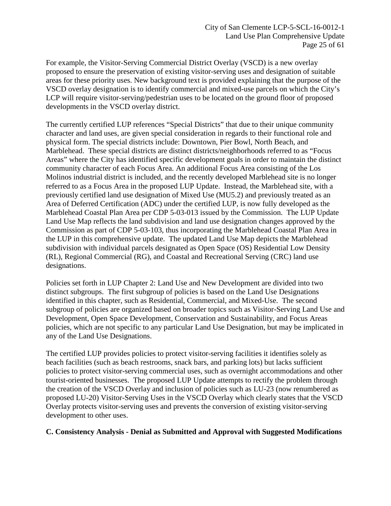For example, the Visitor-Serving Commercial District Overlay (VSCD) is a new overlay proposed to ensure the preservation of existing visitor-serving uses and designation of suitable areas for these priority uses. New background text is provided explaining that the purpose of the VSCD overlay designation is to identify commercial and mixed-use parcels on which the City's LCP will require visitor-serving/pedestrian uses to be located on the ground floor of proposed developments in the VSCD overlay district.

The currently certified LUP references "Special Districts" that due to their unique community character and land uses, are given special consideration in regards to their functional role and physical form. The special districts include: Downtown, Pier Bowl, North Beach, and Marblehead. These special districts are distinct districts/neighborhoods referred to as "Focus Areas" where the City has identified specific development goals in order to maintain the distinct community character of each Focus Area. An additional Focus Area consisting of the Los Molinos industrial district is included, and the recently developed Marblehead site is no longer referred to as a Focus Area in the proposed LUP Update. Instead, the Marblehead site, with a previously certified land use designation of Mixed Use (MU5.2) and previously treated as an Area of Deferred Certification (ADC) under the certified LUP, is now fully developed as the Marblehead Coastal Plan Area per CDP 5-03-013 issued by the Commission. The LUP Update Land Use Map reflects the land subdivision and land use designation changes approved by the Commission as part of CDP 5-03-103, thus incorporating the Marblehead Coastal Plan Area in the LUP in this comprehensive update. The updated Land Use Map depicts the Marblehead subdivision with individual parcels designated as Open Space (OS) Residential Low Density (RL), Regional Commercial (RG), and Coastal and Recreational Serving (CRC) land use designations.

Policies set forth in LUP Chapter 2: Land Use and New Development are divided into two distinct subgroups. The first subgroup of policies is based on the Land Use Designations identified in this chapter, such as Residential, Commercial, and Mixed-Use. The second subgroup of policies are organized based on broader topics such as Visitor-Serving Land Use and Development, Open Space Development, Conservation and Sustainability, and Focus Areas policies, which are not specific to any particular Land Use Designation, but may be implicated in any of the Land Use Designations.

The certified LUP provides policies to protect visitor-serving facilities it identifies solely as beach facilities (such as beach restrooms, snack bars, and parking lots) but lacks sufficient policies to protect visitor-serving commercial uses, such as overnight accommodations and other tourist-oriented businesses. The proposed LUP Update attempts to rectify the problem through the creation of the VSCD Overlay and inclusion of policies such as LU-23 (now renumbered as proposed LU-20) Visitor-Serving Uses in the VSCD Overlay which clearly states that the VSCD Overlay protects visitor-serving uses and prevents the conversion of existing visitor-serving development to other uses.

## **C. Consistency Analysis - Denial as Submitted and Approval with Suggested Modifications**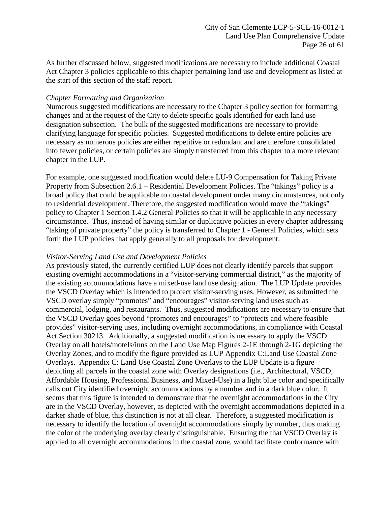As further discussed below, suggested modifications are necessary to include additional Coastal Act Chapter 3 policies applicable to this chapter pertaining land use and development as listed at the start of this section of the staff report.

#### *Chapter Formatting and Organization*

Numerous suggested modifications are necessary to the Chapter 3 policy section for formatting changes and at the request of the City to delete specific goals identified for each land use designation subsection. The bulk of the suggested modifications are necessary to provide clarifying language for specific policies. Suggested modifications to delete entire policies are necessary as numerous policies are either repetitive or redundant and are therefore consolidated into fewer policies, or certain policies are simply transferred from this chapter to a more relevant chapter in the LUP.

For example, one suggested modification would delete LU-9 Compensation for Taking Private Property from Subsection 2.6.1 – Residential Development Policies. The "takings" policy is a broad policy that could be applicable to coastal development under many circumstances, not only to residential development. Therefore, the suggested modification would move the "takings" policy to Chapter 1 Section 1.4.2 General Policies so that it will be applicable in any necessary circumstance. Thus, instead of having similar or duplicative policies in every chapter addressing "taking of private property" the policy is transferred to Chapter 1 - General Policies, which sets forth the LUP policies that apply generally to all proposals for development.

## *Visitor-Serving Land Use and Development Policies*

As previously stated, the currently certified LUP does not clearly identify parcels that support existing overnight accommodations in a "visitor-serving commercial district," as the majority of the existing accommodations have a mixed-use land use designation. The LUP Update provides the VSCD Overlay which is intended to protect visitor-serving uses. However, as submitted the VSCD overlay simply "promotes" and "encourages" visitor-serving land uses such as commercial, lodging, and restaurants. Thus, suggested modifications are necessary to ensure that the VSCD Overlay goes beyond "promotes and encourages" to "protects and where feasible provides" visitor-serving uses, including overnight accommodations, in compliance with Coastal Act Section 30213. Additionally, a suggested modification is necessary to apply the VSCD Overlay on all hotels/motels/inns on the Land Use Map Figures 2-1E through 2-1G depicting the Overlay Zones, and to modify the figure provided as LUP Appendix C:Land Use Coastal Zone Overlays. Appendix C: Land Use Coastal Zone Overlays to the LUP Update is a figure depicting all parcels in the coastal zone with Overlay designations (i.e., Architectural, VSCD, Affordable Housing, Professional Business, and Mixed-Use) in a light blue color and specifically calls out City identified overnight accommodations by a number and in a dark blue color. It seems that this figure is intended to demonstrate that the overnight accommodations in the City are in the VSCD Overlay, however, as depicted with the overnight accommodations depicted in a darker shade of blue, this distinction is not at all clear. Therefore, a suggested modification is necessary to identify the location of overnight accommodations simply by number, thus making the color of the underlying overlay clearly distinguishable. Ensuring the that VSCD Overlay is applied to all overnight accommodations in the coastal zone, would facilitate conformance with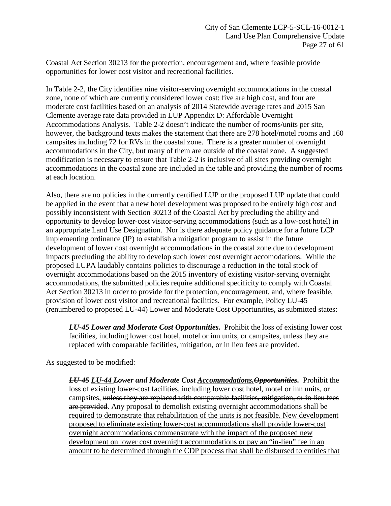Coastal Act Section 30213 for the protection, encouragement and, where feasible provide opportunities for lower cost visitor and recreational facilities.

In Table 2-2, the City identifies nine visitor-serving overnight accommodations in the coastal zone, none of which are currently considered lower cost: five are high cost, and four are moderate cost facilities based on an analysis of 2014 Statewide average rates and 2015 San Clemente average rate data provided in LUP Appendix D: Affordable Overnight Accommodations Analysis. Table 2-2 doesn't indicate the number of rooms/units per site, however, the background texts makes the statement that there are 278 hotel/motel rooms and 160 campsites including 72 for RVs in the coastal zone. There is a greater number of overnight accommodations in the City, but many of them are outside of the coastal zone. A suggested modification is necessary to ensure that Table 2-2 is inclusive of all sites providing overnight accommodations in the coastal zone are included in the table and providing the number of rooms at each location.

Also, there are no policies in the currently certified LUP or the proposed LUP update that could be applied in the event that a new hotel development was proposed to be entirely high cost and possibly inconsistent with Section 30213 of the Coastal Act by precluding the ability and opportunity to develop lower-cost visitor-serving accommodations (such as a low-cost hotel) in an appropriate Land Use Designation. Nor is there adequate policy guidance for a future LCP implementing ordinance (IP) to establish a mitigation program to assist in the future development of lower cost overnight accommodations in the coastal zone due to development impacts precluding the ability to develop such lower cost overnight accomodations. While the proposed LUPA laudably contains policies to discourage a reduction in the total stock of overnight accommodations based on the 2015 inventory of existing visitor-serving overnight accommodations, the submitted policies require additional specificity to comply with Coastal Act Section 30213 in order to provide for the protection, encouragement, and, where feasible, provision of lower cost visitor and recreational facilities. For example, Policy LU-45 (renumbered to proposed LU-44) Lower and Moderate Cost Opportunities, as submitted states:

*LU-45 Lower and Moderate Cost Opportunities.* Prohibit the loss of existing lower cost facilities, including lower cost hotel, motel or inn units, or campsites, unless they are replaced with comparable facilities, mitigation, or in lieu fees are provided.

As suggested to be modified:

*LU-45 LU-44 Lower and Moderate Cost Accommodations.Opportunities.* Prohibit the loss of existing lower-cost facilities, including lower cost hotel, motel or inn units, or campsites, unless they are replaced with comparable facilities, mitigation, or in lieu fees are provided. Any proposal to demolish existing overnight accommodations shall be required to demonstrate that rehabilitation of the units is not feasible. New development proposed to eliminate existing lower-cost accommodations shall provide lower-cost overnight accommodations commensurate with the impact of the proposed new development on lower cost overnight accommodations or pay an "in-lieu" fee in an amount to be determined through the CDP process that shall be disbursed to entities that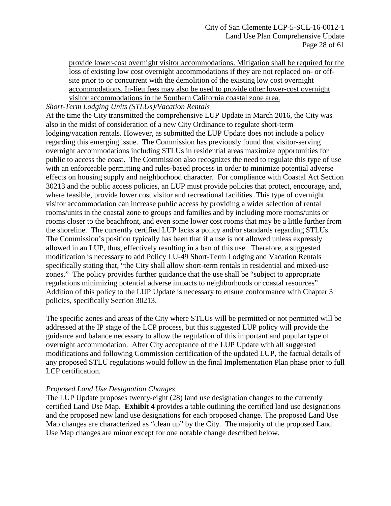provide lower-cost overnight visitor accommodations. Mitigation shall be required for the loss of existing low cost overnight accommodations if they are not replaced on- or offsite prior to or concurrent with the demolition of the existing low cost overnight accommodations. In-lieu fees may also be used to provide other lower-cost overnight visitor accommodations in the Southern California coastal zone area.

#### *Short-Term Lodging Units (STLUs)/Vacation Rentals*

At the time the City transmitted the comprehensive LUP Update in March 2016, the City was also in the midst of consideration of a new City Ordinance to regulate short-term lodging/vacation rentals. However, as submitted the LUP Update does not include a policy regarding this emerging issue. The Commission has previously found that visitor-serving overnight accommodations including STLUs in residential areas maximize opportunities for public to access the coast. The Commission also recognizes the need to regulate this type of use with an enforceable permitting and rules-based process in order to minimize potential adverse effects on housing supply and neighborhood character. For compliance with Coastal Act Section 30213 and the public access policies, an LUP must provide policies that protect, encourage, and, where feasible, provide lower cost visitor and recreational facilities. This type of overnight visitor accommodation can increase public access by providing a wider selection of rental rooms/units in the coastal zone to groups and families and by including more rooms/units or rooms closer to the beachfront, and even some lower cost rooms that may be a little further from the shoreline. The currently certified LUP lacks a policy and/or standards regarding STLUs. The Commission's position typically has been that if a use is not allowed unless expressly allowed in an LUP, thus, effectively resulting in a ban of this use. Therefore, a suggested modification is necessary to add Policy LU-49 Short-Term Lodging and Vacation Rentals specifically stating that, "the City shall allow short-term rentals in residential and mixed-use zones." The policy provides further guidance that the use shall be "subject to appropriate regulations minimizing potential adverse impacts to neighborhoods or coastal resources" Addition of this policy to the LUP Update is necessary to ensure conformance with Chapter 3 policies, specifically Section 30213.

The specific zones and areas of the City where STLUs will be permitted or not permitted will be addressed at the IP stage of the LCP process, but this suggested LUP policy will provide the guidance and balance necessary to allow the regulation of this important and popular type of overnight accommodation. After City acceptance of the LUP Update with all suggested modifications and following Commission certification of the updated LUP, the factual details of any proposed STLU regulations would follow in the final Implementation Plan phase prior to full LCP certification.

#### *Proposed Land Use Designation Changes*

The LUP Update proposes twenty-eight (28) land use designation changes to the currently certified Land Use Map. **[Exhibit 4](https://documents.coastal.ca.gov/reports/2018/2/Th12a/Th12a-2-2018-exhibits.pdf)** provides a table outlining the certified land use designations and the proposed new land use designations for each proposed change. The proposed Land Use Map changes are characterized as "clean up" by the City. The majority of the proposed Land Use Map changes are minor except for one notable change described below.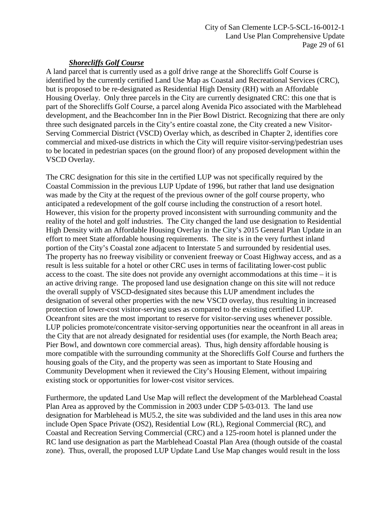## *Shorecliffs Golf Course*

A land parcel that is currently used as a golf drive range at the Shorecliffs Golf Course is identified by the currently certified Land Use Map as Coastal and Recreational Services (CRC), but is proposed to be re-designated as Residential High Density (RH) with an Affordable Housing Overlay. Only three parcels in the City are currently designated CRC: this one that is part of the Shorecliffs Golf Course, a parcel along Avenida Pico associated with the Marblehead development, and the Beachcomber Inn in the Pier Bowl District. Recognizing that there are only three such designated parcels in the City's entire coastal zone, the City created a new Visitor-Serving Commercial District (VSCD) Overlay which, as described in Chapter 2, identifies core commercial and mixed-use districts in which the City will require visitor-serving/pedestrian uses to be located in pedestrian spaces (on the ground floor) of any proposed development within the VSCD Overlay.

The CRC designation for this site in the certified LUP was not specifically required by the Coastal Commission in the previous LUP Update of 1996, but rather that land use designation was made by the City at the request of the previous owner of the golf course property, who anticipated a redevelopment of the golf course including the construction of a resort hotel. However, this vision for the property proved inconsistent with surrounding community and the reality of the hotel and golf industries. The City changed the land use designation to Residential High Density with an Affordable Housing Overlay in the City's 2015 General Plan Update in an effort to meet State affordable housing requirements. The site is in the very furthest inland portion of the City's Coastal zone adjacent to Interstate 5 and surrounded by residential uses. The property has no freeway visibility or convenient freeway or Coast Highway access, and as a result is less suitable for a hotel or other CRC uses in terms of facilitating lower-cost public access to the coast. The site does not provide any overnight accommodations at this time – it is an active driving range. The proposed land use designation change on this site will not reduce the overall supply of VSCD-designated sites because this LUP amendment includes the designation of several other properties with the new VSCD overlay, thus resulting in increased protection of lower-cost visitor-serving uses as compared to the existing certified LUP. Oceanfront sites are the most important to reserve for visitor-serving uses whenever possible. LUP policies promote/concentrate visitor-serving opportunities near the oceanfront in all areas in the City that are not already designated for residential uses (for example, the North Beach area; Pier Bowl, and downtown core commercial areas). Thus, high density affordable housing is more compatible with the surrounding community at the Shorecliffs Golf Course and furthers the housing goals of the City, and the property was seen as important to State Housing and Community Development when it reviewed the City's Housing Element, without impairing existing stock or opportunities for lower-cost visitor services.

Furthermore, the updated Land Use Map will reflect the development of the Marblehead Coastal Plan Area as approved by the Commission in 2003 under CDP 5-03-013. The land use designation for Marblehead is MU5.2, the site was subdivided and the land uses in this area now include Open Space Private (OS2), Residential Low (RL), Regional Commercial (RC), and Coastal and Recreation Serving Commercial (CRC) and a 125-room hotel is planned under the RC land use designation as part the Marblehead Coastal Plan Area (though outside of the coastal zone). Thus, overall, the proposed LUP Update Land Use Map changes would result in the loss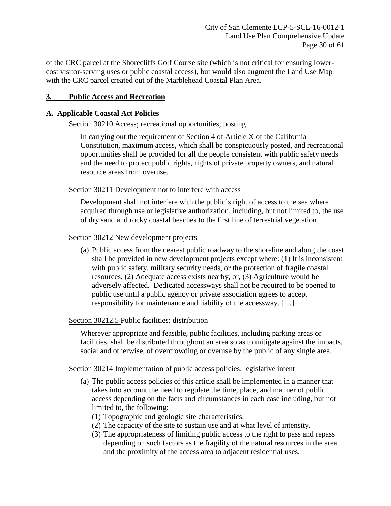of the CRC parcel at the Shorecliffs Golf Course site (which is not critical for ensuring lowercost visitor-serving uses or public coastal access), but would also augment the Land Use Map with the CRC parcel created out of the Marblehead Coastal Plan Area.

## <span id="page-29-0"></span>**3. Public Access and Recreation**

## **A. Applicable Coastal Act Policies**

Section 30210 Access; recreational opportunities; posting

In carrying out the requirement of Section 4 of Article X of the California Constitution, maximum access, which shall be conspicuously posted, and recreational opportunities shall be provided for all the people consistent with public safety needs and the need to protect public rights, rights of private property owners, and natural resource areas from overuse.

Section 30211 Development not to interfere with access

Development shall not interfere with the public's right of access to the sea where acquired through use or legislative authorization, including, but not limited to, the use of dry sand and rocky coastal beaches to the first line of terrestrial vegetation.

Section 30212 New development projects

(a) Public access from the nearest public roadway to the shoreline and along the coast shall be provided in new development projects except where: (1) It is inconsistent with public safety, military security needs, or the protection of fragile coastal resources, (2) Adequate access exists nearby, or, (3) Agriculture would be adversely affected. Dedicated accessways shall not be required to be opened to public use until a public agency or private association agrees to accept responsibility for maintenance and liability of the accessway. […]

## Section 30212.5 Public facilities; distribution

Wherever appropriate and feasible, public facilities, including parking areas or facilities, shall be distributed throughout an area so as to mitigate against the impacts, social and otherwise, of overcrowding or overuse by the public of any single area.

Section 30214 Implementation of public access policies; legislative intent

- (a) The public access policies of this article shall be implemented in a manner that takes into account the need to regulate the time, place, and manner of public access depending on the facts and circumstances in each case including, but not limited to, the following:
	- (1) Topographic and geologic site characteristics.
	- (2) The capacity of the site to sustain use and at what level of intensity.
	- (3) The appropriateness of limiting public access to the right to pass and repass depending on such factors as the fragility of the natural resources in the area and the proximity of the access area to adjacent residential uses.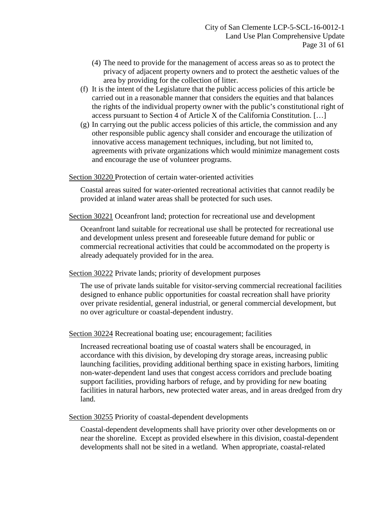- (4) The need to provide for the management of access areas so as to protect the privacy of adjacent property owners and to protect the aesthetic values of the area by providing for the collection of litter.
- (f) It is the intent of the Legislature that the public access policies of this article be carried out in a reasonable manner that considers the equities and that balances the rights of the individual property owner with the public's constitutional right of access pursuant to Section 4 of Article X of the California Constitution. […]
- (g) In carrying out the public access policies of this article, the commission and any other responsible public agency shall consider and encourage the utilization of innovative access management techniques, including, but not limited to, agreements with private organizations which would minimize management costs and encourage the use of volunteer programs.

Section 30220 Protection of certain water-oriented activities

Coastal areas suited for water-oriented recreational activities that cannot readily be provided at inland water areas shall be protected for such uses.

Section 30221 Oceanfront land; protection for recreational use and development

Oceanfront land suitable for recreational use shall be protected for recreational use and development unless present and foreseeable future demand for public or commercial recreational activities that could be accommodated on the property is already adequately provided for in the area.

Section 30222 Private lands; priority of development purposes

The use of private lands suitable for visitor-serving commercial recreational facilities designed to enhance public opportunities for coastal recreation shall have priority over private residential, general industrial, or general commercial development, but no over agriculture or coastal-dependent industry.

Section 30224 Recreational boating use; encouragement; facilities

Increased recreational boating use of coastal waters shall be encouraged, in accordance with this division, by developing dry storage areas, increasing public launching facilities, providing additional berthing space in existing harbors, limiting non-water-dependent land uses that congest access corridors and preclude boating support facilities, providing harbors of refuge, and by providing for new boating facilities in natural harbors, new protected water areas, and in areas dredged from dry land.

Section 30255 Priority of coastal-dependent developments

Coastal-dependent developments shall have priority over other developments on or near the shoreline. Except as provided elsewhere in this division, coastal-dependent developments shall not be sited in a wetland. When appropriate, coastal-related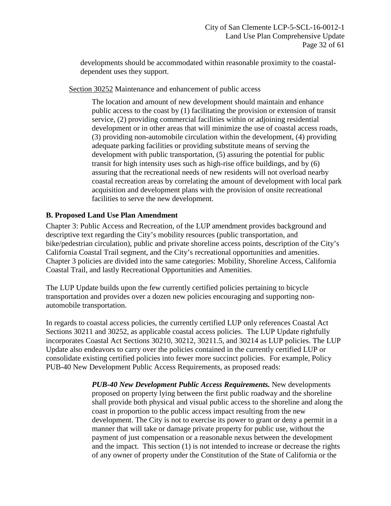developments should be accommodated within reasonable proximity to the coastaldependent uses they support.

Section 30252 Maintenance and enhancement of public access

The location and amount of new development should maintain and enhance public access to the coast by (1) facilitating the provision or extension of transit service, (2) providing commercial facilities within or adjoining residential development or in other areas that will minimize the use of coastal access roads, (3) providing non-automobile circulation within the development, (4) providing adequate parking facilities or providing substitute means of serving the development with public transportation, (5) assuring the potential for public transit for high intensity uses such as high-rise office buildings, and by (6) assuring that the recreational needs of new residents will not overload nearby coastal recreation areas by correlating the amount of development with local park acquisition and development plans with the provision of onsite recreational facilities to serve the new development.

# **B. Proposed Land Use Plan Amendment**

Chapter 3: Public Access and Recreation, of the LUP amendment provides background and descriptive text regarding the City's mobility resources (public transportation, and bike/pedestrian circulation), public and private shoreline access points, description of the City's California Coastal Trail segment, and the City's recreational opportunities and amenities. Chapter 3 policies are divided into the same categories: Mobility, Shoreline Access, California Coastal Trail, and lastly Recreational Opportunities and Amenities.

The LUP Update builds upon the few currently certified policies pertaining to bicycle transportation and provides over a dozen new policies encouraging and supporting nonautomobile transportation.

In regards to coastal access policies, the currently certified LUP only references Coastal Act Sections 30211 and 30252, as applicable coastal access policies. The LUP Update rightfully incorporates Coastal Act Sections 30210, 30212, 30211.5, and 30214 as LUP policies. The LUP Update also endeavors to carry over the policies contained in the currently certified LUP or consolidate existing certified policies into fewer more succinct policies. For example, Policy PUB-40 New Development Public Access Requirements, as proposed reads:

> *PUB-40 New Development Public Access Requirements.* New developments proposed on property lying between the first public roadway and the shoreline shall provide both physical and visual public access to the shoreline and along the coast in proportion to the public access impact resulting from the new development. The City is not to exercise its power to grant or deny a permit in a manner that will take or damage private property for public use, without the payment of just compensation or a reasonable nexus between the development and the impact. This section (1) is not intended to increase or decrease the rights of any owner of property under the Constitution of the State of California or the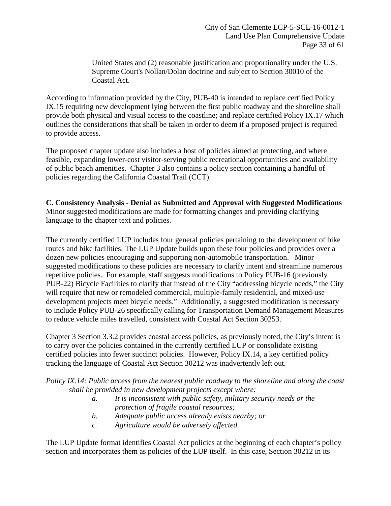United States and (2) reasonable justification and proportionality under the U.S. Supreme Court's Nollan/Dolan doctrine and subject to Section 30010 of the Coastal Act.

According to information provided by the City, PUB-40 is intended to replace certified Policy IX.15 requiring new development lying between the first public roadway and the shoreline shall provide both physical and visual access to the coastline; and replace certified Policy IX.17 which outlines the considerations that shall be taken in order to deem if a proposed project is required to provide access.

The proposed chapter update also includes a host of policies aimed at protecting, and where feasible, expanding lower-cost visitor-serving public recreational opportunities and availability of public beach amenities. Chapter 3 also contains a policy section containing a handful of policies regarding the California Coastal Trail (CCT).

## **C. Consistency Analysis - Denial as Submitted and Approval with Suggested Modifications** Minor suggested modifications are made for formatting changes and providing clarifying language to the chapter text and policies.

The currently certified LUP includes four general policies pertaining to the development of bike routes and bike facilities. The LUP Update builds upon these four policies and provides over a dozen new policies encouraging and supporting non-automobile transportation. Minor suggested modifications to these policies are necessary to clarify intent and streamline numerous repetitive policies. For example, staff suggests modifications to Policy PUB-16 (previously PUB-22) Bicycle Facilities to clarify that instead of the City "addressing bicycle needs," the City will require that new or remodeled commercial, multiple-family residential, and mixed-use development projects meet bicycle needs." Additionally, a suggested modification is necessary to include Policy PUB-26 specifically calling for Transportation Demand Management Measures to reduce vehicle miles travelled, consistent with Coastal Act Section 30253.

Chapter 3 Section 3.3.2 provides coastal access policies, as previously noted, the City's intent is to carry over the policies contained in the currently certified LUP or consolidate existing certified policies into fewer succinct policies. However, Policy IX.14, a key certified policy tracking the language of Coastal Act Section 30212 was inadvertently left out.

*Policy IX.14: Public access from the nearest public roadway to the shoreline and along the coast shall be provided in new development projects except where:* 

- *a. It is inconsistent with public safety, military security needs or the protection of fragile coastal resources;*
- *b. Adequate public access already exists nearby; or*
- *c. Agriculture would be adversely affected.*

The LUP Update format identifies Coastal Act policies at the beginning of each chapter's policy section and incorporates them as policies of the LUP itself. In this case, Section 30212 in its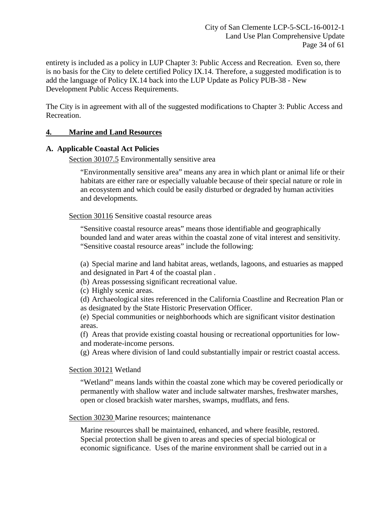entirety is included as a policy in LUP Chapter 3: Public Access and Recreation. Even so, there is no basis for the City to delete certified Policy IX.14. Therefore, a suggested modification is to add the language of Policy IX.14 back into the LUP Update as Policy PUB-38 - New Development Public Access Requirements.

The City is in agreement with all of the suggested modifications to Chapter 3: Public Access and Recreation.

## <span id="page-33-0"></span>**4. Marine and Land Resources**

#### **A. Applicable Coastal Act Policies**

Section 30107.5 Environmentally sensitive area

"Environmentally sensitive area" means any area in which plant or animal life or their habitats are either rare or especially valuable because of their special nature or role in an ecosystem and which could be easily disturbed or degraded by human activities and developments.

Section 30116 Sensitive coastal resource areas

"Sensitive coastal resource areas" means those identifiable and geographically bounded land and water areas within the coastal zone of vital interest and sensitivity. "Sensitive coastal resource areas" include the following:

(a) Special marine and land habitat areas, wetlands, lagoons, and estuaries as mapped and designated in Part 4 of the coastal plan .

(b) Areas possessing significant recreational value.

(c) Highly scenic areas.

(d) Archaeological sites referenced in the California Coastline and Recreation Plan or as designated by the State Historic Preservation Officer.

(e) Special communities or neighborhoods which are significant visitor destination areas.

(f) Areas that provide existing coastal housing or recreational opportunities for lowand moderate-income persons.

(g) Areas where division of land could substantially impair or restrict coastal access.

#### Section 30121 Wetland

"Wetland" means lands within the coastal zone which may be covered periodically or permanently with shallow water and include saltwater marshes, freshwater marshes, open or closed brackish water marshes, swamps, mudflats, and fens.

#### Section 30230 Marine resources; maintenance

Marine resources shall be maintained, enhanced, and where feasible, restored. Special protection shall be given to areas and species of special biological or economic significance. Uses of the marine environment shall be carried out in a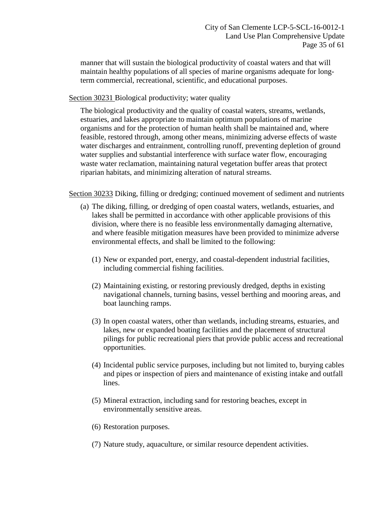manner that will sustain the biological productivity of coastal waters and that will maintain healthy populations of all species of marine organisms adequate for longterm commercial, recreational, scientific, and educational purposes.

Section 30231 Biological productivity; water quality

The biological productivity and the quality of coastal waters, streams, wetlands, estuaries, and lakes appropriate to maintain optimum populations of marine organisms and for the protection of human health shall be maintained and, where feasible, restored through, among other means, minimizing adverse effects of waste water discharges and entrainment, controlling runoff, preventing depletion of ground water supplies and substantial interference with surface water flow, encouraging waste water reclamation, maintaining natural vegetation buffer areas that protect riparian habitats, and minimizing alteration of natural streams.

Section 30233 Diking, filling or dredging; continued movement of sediment and nutrients

- (a) The diking, filling, or dredging of open coastal waters, wetlands, estuaries, and lakes shall be permitted in accordance with other applicable provisions of this division, where there is no feasible less environmentally damaging alternative, and where feasible mitigation measures have been provided to minimize adverse environmental effects, and shall be limited to the following:
	- (1) New or expanded port, energy, and coastal-dependent industrial facilities, including commercial fishing facilities.
	- (2) Maintaining existing, or restoring previously dredged, depths in existing navigational channels, turning basins, vessel berthing and mooring areas, and boat launching ramps.
	- (3) In open coastal waters, other than wetlands, including streams, estuaries, and lakes, new or expanded boating facilities and the placement of structural pilings for public recreational piers that provide public access and recreational opportunities.
	- (4) Incidental public service purposes, including but not limited to, burying cables and pipes or inspection of piers and maintenance of existing intake and outfall lines.
	- (5) Mineral extraction, including sand for restoring beaches, except in environmentally sensitive areas.
	- (6) Restoration purposes.
	- (7) Nature study, aquaculture, or similar resource dependent activities.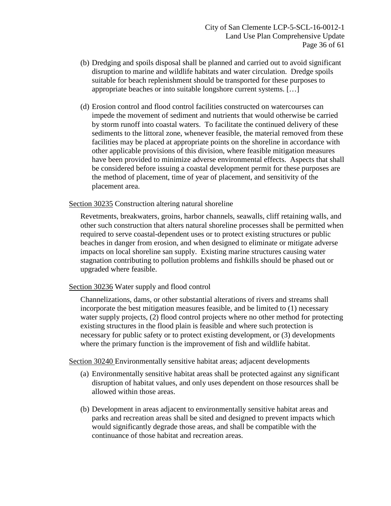- (b) Dredging and spoils disposal shall be planned and carried out to avoid significant disruption to marine and wildlife habitats and water circulation. Dredge spoils suitable for beach replenishment should be transported for these purposes to appropriate beaches or into suitable longshore current systems. […]
- (d) Erosion control and flood control facilities constructed on watercourses can impede the movement of sediment and nutrients that would otherwise be carried by storm runoff into coastal waters. To facilitate the continued delivery of these sediments to the littoral zone, whenever feasible, the material removed from these facilities may be placed at appropriate points on the shoreline in accordance with other applicable provisions of this division, where feasible mitigation measures have been provided to minimize adverse environmental effects. Aspects that shall be considered before issuing a coastal development permit for these purposes are the method of placement, time of year of placement, and sensitivity of the placement area.

## Section 30235 Construction altering natural shoreline

Revetments, breakwaters, groins, harbor channels, seawalls, cliff retaining walls, and other such construction that alters natural shoreline processes shall be permitted when required to serve coastal-dependent uses or to protect existing structures or public beaches in danger from erosion, and when designed to eliminate or mitigate adverse impacts on local shoreline san supply. Existing marine structures causing water stagnation contributing to pollution problems and fishkills should be phased out or upgraded where feasible.

## Section 30236 Water supply and flood control

Channelizations, dams, or other substantial alterations of rivers and streams shall incorporate the best mitigation measures feasible, and be limited to (1) necessary water supply projects, (2) flood control projects where no other method for protecting existing structures in the flood plain is feasible and where such protection is necessary for public safety or to protect existing development, or (3) developments where the primary function is the improvement of fish and wildlife habitat.

Section 30240 Environmentally sensitive habitat areas; adjacent developments

- (a) Environmentally sensitive habitat areas shall be protected against any significant disruption of habitat values, and only uses dependent on those resources shall be allowed within those areas.
- (b) Development in areas adjacent to environmentally sensitive habitat areas and parks and recreation areas shall be sited and designed to prevent impacts which would significantly degrade those areas, and shall be compatible with the continuance of those habitat and recreation areas.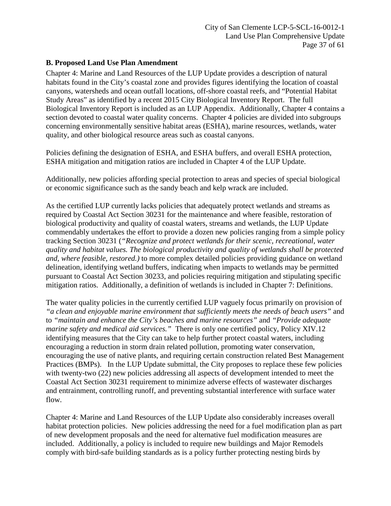## **B. Proposed Land Use Plan Amendment**

Chapter 4: Marine and Land Resources of the LUP Update provides a description of natural habitats found in the City's coastal zone and provides figures identifying the location of coastal canyons, watersheds and ocean outfall locations, off-shore coastal reefs, and "Potential Habitat Study Areas" as identified by a recent 2015 City Biological Inventory Report. The full Biological Inventory Report is included as an LUP Appendix. Additionally, Chapter 4 contains a section devoted to coastal water quality concerns. Chapter 4 policies are divided into subgroups concerning environmentally sensitive habitat areas (ESHA), marine resources, wetlands, water quality, and other biological resource areas such as coastal canyons.

Policies defining the designation of ESHA, and ESHA buffers, and overall ESHA protection, ESHA mitigation and mitigation ratios are included in Chapter 4 of the LUP Update.

Additionally, new policies affording special protection to areas and species of special biological or economic significance such as the sandy beach and kelp wrack are included.

As the certified LUP currently lacks policies that adequately protect wetlands and streams as required by Coastal Act Section 30231 for the maintenance and where feasible, restoration of biological productivity and quality of coastal waters, streams and wetlands, the LUP Update commendably undertakes the effort to provide a dozen new policies ranging from a simple policy tracking Section 30231 (*"Recognize and protect wetlands for their scenic, recreational, water quality and habitat values. The biological productivity and quality of wetlands shall be protected and, where feasible, restored.)* to more complex detailed policies providing guidance on wetland delineation, identifying wetland buffers, indicating when impacts to wetlands may be permitted pursuant to Coastal Act Section 30233, and policies requiring mitigation and stipulating specific mitigation ratios. Additionally, a definition of wetlands is included in Chapter 7: Definitions.

The water quality policies in the currently certified LUP vaguely focus primarily on provision of *"a clean and enjoyable marine environment that sufficiently meets the needs of beach users"* and to *"maintain and enhance the City's beaches and marine resources"* and *"Provide adequate marine safety and medical aid services."* There is only one certified policy, Policy XIV.12 identifying measures that the City can take to help further protect coastal waters, including encouraging a reduction in storm drain related pollution, promoting water conservation, encouraging the use of native plants, and requiring certain construction related Best Management Practices (BMPs). In the LUP Update submittal, the City proposes to replace these few policies with twenty-two (22) new policies addressing all aspects of development intended to meet the Coastal Act Section 30231 requirement to minimize adverse effects of wastewater discharges and entrainment, controlling runoff, and preventing substantial interference with surface water flow.

Chapter 4: Marine and Land Resources of the LUP Update also considerably increases overall habitat protection policies. New policies addressing the need for a fuel modification plan as part of new development proposals and the need for alternative fuel modification measures are included. Additionally, a policy is included to require new buildings and Major Remodels comply with bird-safe building standards as is a policy further protecting nesting birds by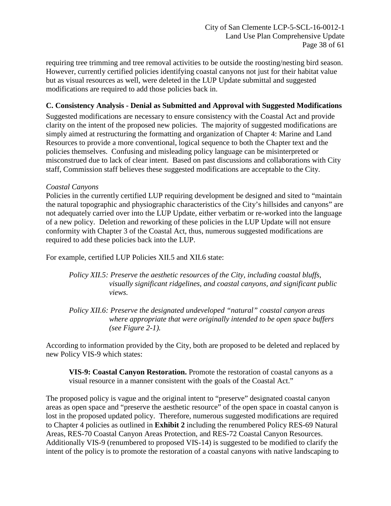requiring tree trimming and tree removal activities to be outside the roosting/nesting bird season. However, currently certified policies identifying coastal canyons not just for their habitat value but as visual resources as well, were deleted in the LUP Update submittal and suggested modifications are required to add those policies back in.

# **C. Consistency Analysis - Denial as Submitted and Approval with Suggested Modifications**

Suggested modifications are necessary to ensure consistency with the Coastal Act and provide clarity on the intent of the proposed new policies. The majority of suggested modifications are simply aimed at restructuring the formatting and organization of Chapter 4: Marine and Land Resources to provide a more conventional, logical sequence to both the Chapter text and the policies themselves. Confusing and misleading policy language can be misinterpreted or misconstrued due to lack of clear intent. Based on past discussions and collaborations with City staff, Commission staff believes these suggested modifications are acceptable to the City.

## *Coastal Canyons*

Policies in the currently certified LUP requiring development be designed and sited to "maintain the natural topographic and physiographic characteristics of the City's hillsides and canyons" are not adequately carried over into the LUP Update, either verbatim or re-worked into the language of a new policy. Deletion and reworking of these policies in the LUP Update will not ensure conformity with Chapter 3 of the Coastal Act, thus, numerous suggested modifications are required to add these policies back into the LUP.

For example, certified LUP Policies XII.5 and XII.6 state:

*Policy XII.5: Preserve the aesthetic resources of the City, including coastal bluffs, visually significant ridgelines, and coastal canyons, and significant public views.*

*Policy XII.6: Preserve the designated undeveloped "natural" coastal canyon areas where appropriate that were originally intended to be open space buffers (see Figure 2-1).*

According to information provided by the City, both are proposed to be deleted and replaced by new Policy VIS-9 which states:

**VIS-9: Coastal Canyon Restoration.** Promote the restoration of coastal canyons as a visual resource in a manner consistent with the goals of the Coastal Act."

The proposed policy is vague and the original intent to "preserve" designated coastal canyon areas as open space and "preserve the aesthetic resource" of the open space in coastal canyon is lost in the proposed updated policy. Therefore, numerous suggested modifications are required to Chapter 4 policies as outlined in **[Exhibit 2](https://documents.coastal.ca.gov/reports/2018/2/Th12a/Th12a-2-2018-exhibits.pdf)** including the renumbered Policy RES-69 Natural Areas, RES-70 Coastal Canyon Areas Protection, and RES-72 Coastal Canyon Resources. Additionally VIS-9 (renumbered to proposed VIS-14) is suggested to be modified to clarify the intent of the policy is to promote the restoration of a coastal canyons with native landscaping to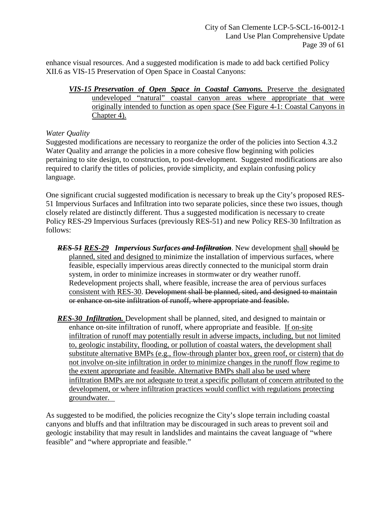enhance visual resources. And a suggested modification is made to add back certified Policy XII.6 as VIS-15 Preservation of Open Space in Coastal Canyons:

*VIS-15 Preservation of Open Space in Coastal Canyons.* Preserve the designated undeveloped "natural" coastal canyon areas where appropriate that were originally intended to function as open space (See Figure 4-1: Coastal Canyons in Chapter 4).

## *Water Quality*

Suggested modifications are necessary to reorganize the order of the policies into Section 4.3.2 Water Quality and arrange the policies in a more cohesive flow beginning with policies pertaining to site design, to construction, to post-development. Suggested modifications are also required to clarify the titles of policies, provide simplicity, and explain confusing policy language.

One significant crucial suggested modification is necessary to break up the City's proposed RES-51 Impervious Surfaces and Infiltration into two separate policies, since these two issues, though closely related are distinctly different. Thus a suggested modification is necessary to create Policy RES-29 Impervious Surfaces (previously RES-51) and new Policy RES-30 Infiltration as follows:

- *RES-51 RES-29 Impervious Surfaces and Infiltration*. New development shall should be planned, sited and designed to minimize the installation of impervious surfaces, where feasible, especially impervious areas directly connected to the municipal storm drain system, in order to minimize increases in stormwater or dry weather runoff. Redevelopment projects shall, where feasible, increase the area of pervious surfaces consistent with RES-30. Development shall be planned, sited, and designed to maintain or enhance on-site infiltration of runoff, where appropriate and feasible.
- *RES-30 Infiltration.* Development shall be planned, sited, and designed to maintain or enhance on-site infiltration of runoff, where appropriate and feasible. If on-site infiltration of runoff may potentially result in adverse impacts, including, but not limited to, geologic instability, flooding, or pollution of coastal waters, the development shall substitute alternative BMPs (e.g., flow-through planter box, green roof, or cistern) that do not involve on-site infiltration in order to minimize changes in the runoff flow regime to the extent appropriate and feasible. Alternative BMPs shall also be used where infiltration BMPs are not adequate to treat a specific pollutant of concern attributed to the development, or where infiltration practices would conflict with regulations protecting groundwater.

As suggested to be modified, the policies recognize the City's slope terrain including coastal canyons and bluffs and that infiltration may be discouraged in such areas to prevent soil and geologic instability that may result in landslides and maintains the caveat language of "where feasible" and "where appropriate and feasible."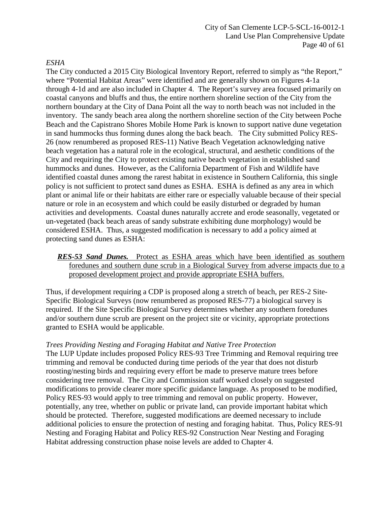## *ESHA*

The City conducted a 2015 City Biological Inventory Report, referred to simply as "the Report," where "Potential Habitat Areas" were identified and are generally shown on Figures 4-1a through 4-1d and are also included in Chapter 4. The Report's survey area focused primarily on coastal canyons and bluffs and thus, the entire northern shoreline section of the City from the northern boundary at the City of Dana Point all the way to north beach was not included in the inventory. The sandy beach area along the northern shoreline section of the City between Poche Beach and the Capistrano Shores Mobile Home Park is known to support native dune vegetation in sand hummocks thus forming dunes along the back beach. The City submitted Policy RES-26 (now renumbered as proposed RES-11) Native Beach Vegetation acknowledging native beach vegetation has a natural role in the ecological, structural, and aesthetic conditions of the City and requiring the City to protect existing native beach vegetation in established sand hummocks and dunes. However, as the California Department of Fish and Wildlife have identified coastal dunes among the rarest habitat in existence in Southern California, this single policy is not sufficient to protect sand dunes as ESHA. ESHA is defined as any area in which plant or animal life or their habitats are either rare or especially valuable because of their special nature or role in an ecosystem and which could be easily disturbed or degraded by human activities and developments. Coastal dunes naturally accrete and erode seasonally, vegetated or un-vegetated (back beach areas of sandy substrate exhibiting dune morphology) would be considered ESHA. Thus, a suggested modification is necessary to add a policy aimed at protecting sand dunes as ESHA:

## *RES-53 Sand Dunes.* Protect as ESHA areas which have been identified as southern foredunes and southern dune scrub in a Biological Survey from adverse impacts due to a proposed development project and provide appropriate ESHA buffers.

Thus, if development requiring a CDP is proposed along a stretch of beach, per RES-2 Site-Specific Biological Surveys (now renumbered as proposed RES-77) a biological survey is required. If the Site Specific Biological Survey determines whether any southern foredunes and/or southern dune scrub are present on the project site or vicinity, appropriate protections granted to ESHA would be applicable.

## *Trees Providing Nesting and Foraging Habitat and Native Tree Protection*

The LUP Update includes proposed Policy RES-93 Tree Trimming and Removal requiring tree trimming and removal be conducted during time periods of the year that does not disturb roosting/nesting birds and requiring every effort be made to preserve mature trees before considering tree removal. The City and Commission staff worked closely on suggested modifications to provide clearer more specific guidance language. As proposed to be modified, Policy RES-93 would apply to tree trimming and removal on public property. However, potentially, any tree, whether on public or private land, can provide important habitat which should be protected. Therefore, suggested modifications are deemed necessary to include additional policies to ensure the protection of nesting and foraging habitat. Thus, Policy RES-91 Nesting and Foraging Habitat and Policy RES-92 Construction Near Nesting and Foraging Habitat addressing construction phase noise levels are added to Chapter 4.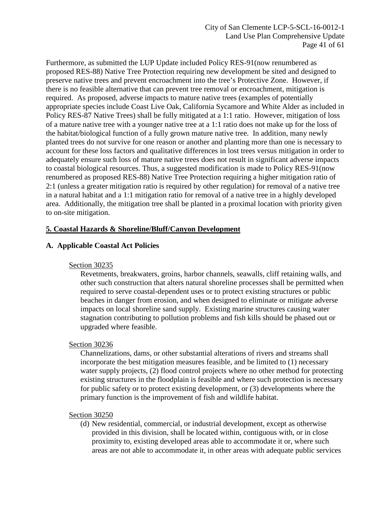Furthermore, as submitted the LUP Update included Policy RES-91(now renumbered as proposed RES-88) Native Tree Protection requiring new development be sited and designed to preserve native trees and prevent encroachment into the tree's Protective Zone. However, if there is no feasible alternative that can prevent tree removal or encroachment, mitigation is required. As proposed, adverse impacts to mature native trees (examples of potentially appropriate species include Coast Live Oak, California Sycamore and White Alder as included in Policy RES-87 Native Trees) shall be fully mitigated at a 1:1 ratio. However, mitigation of loss of a mature native tree with a younger native tree at a 1:1 ratio does not make up for the loss of the habitat/biological function of a fully grown mature native tree. In addition, many newly planted trees do not survive for one reason or another and planting more than one is necessary to account for these loss factors and qualitative differences in lost trees versus mitigation in order to adequately ensure such loss of mature native trees does not result in significant adverse impacts to coastal biological resources. Thus, a suggested modification is made to Policy RES-91(now renumbered as proposed RES-88) Native Tree Protection requiring a higher mitigation ratio of 2:1 (unless a greater mitigation ratio is required by other regulation) for removal of a native tree in a natural habitat and a 1:1 mitigation ratio for removal of a native tree in a highly developed area. Additionally, the mitigation tree shall be planted in a proximal location with priority given to on-site mitigation.

# <span id="page-40-0"></span>**5. Coastal Hazards & Shoreline/Bluff/Canyon Development**

# **A. Applicable Coastal Act Policies**

## Section 30235

Revetments, breakwaters, groins, harbor channels, seawalls, cliff retaining walls, and other such construction that alters natural shoreline processes shall be permitted when required to serve coastal-dependent uses or to protect existing structures or public beaches in danger from erosion, and when designed to eliminate or mitigate adverse impacts on local shoreline sand supply. Existing marine structures causing water stagnation contributing to pollution problems and fish kills should be phased out or upgraded where feasible.

## Section 30236

Channelizations, dams, or other substantial alterations of rivers and streams shall incorporate the best mitigation measures feasible, and be limited to (1) necessary water supply projects, (2) flood control projects where no other method for protecting existing structures in the floodplain is feasible and where such protection is necessary for public safety or to protect existing development, or (3) developments where the primary function is the improvement of fish and wildlife habitat.

#### Section 30250

(d) New residential, commercial, or industrial development, except as otherwise provided in this division, shall be located within, contiguous with, or in close proximity to, existing developed areas able to accommodate it or, where such areas are not able to accommodate it, in other areas with adequate public services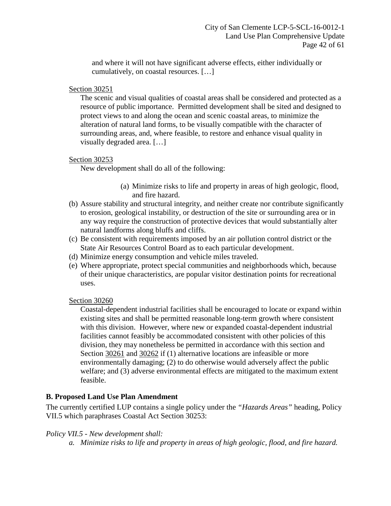and where it will not have significant adverse effects, either individually or cumulatively, on coastal resources. […]

## Section 30251

The scenic and visual qualities of coastal areas shall be considered and protected as a resource of public importance. Permitted development shall be sited and designed to protect views to and along the ocean and scenic coastal areas, to minimize the alteration of natural land forms, to be visually compatible with the character of surrounding areas, and, where feasible, to restore and enhance visual quality in visually degraded area. […]

## Section 30253

New development shall do all of the following:

- (a) Minimize risks to life and property in areas of high geologic, flood, and fire hazard.
- (b) Assure stability and structural integrity, and neither create nor contribute significantly to erosion, geological instability, or destruction of the site or surrounding area or in any way require the construction of protective devices that would substantially alter natural landforms along bluffs and cliffs.
- (c) Be consistent with requirements imposed by an air pollution control district or the State Air Resources Control Board as to each particular development.
- (d) Minimize energy consumption and vehicle miles traveled.
- (e) Where appropriate, protect special communities and neighborhoods which, because of their unique characteristics, are popular visitor destination points for recreational uses.

## Section 30260

Coastal-dependent industrial facilities shall be encouraged to locate or expand within existing sites and shall be permitted reasonable long-term growth where consistent with this division. However, where new or expanded coastal-dependent industrial facilities cannot feasibly be accommodated consistent with other policies of this division, they may nonetheless be permitted in accordance with this section and Section 30261 and 30262 if (1) alternative locations are infeasible or more environmentally damaging; (2) to do otherwise would adversely affect the public welfare; and (3) adverse environmental effects are mitigated to the maximum extent feasible.

## **B. Proposed Land Use Plan Amendment**

The currently certified LUP contains a single policy under the *"Hazards Areas"* heading, Policy VII.5 which paraphrases Coastal Act Section 30253:

## *Policy VII.5 - New development shall:*

*a. Minimize risks to life and property in areas of high geologic, flood, and fire hazard.*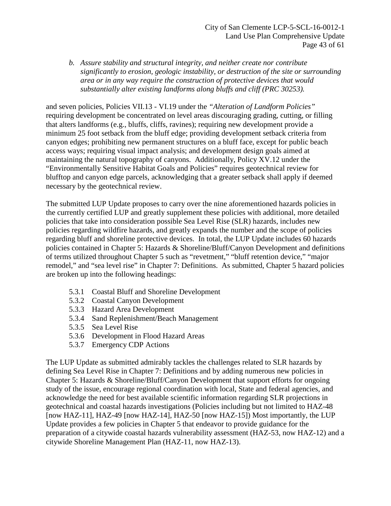*b. Assure stability and structural integrity, and neither create nor contribute significantly to erosion, geologic instability, or destruction of the site or surrounding area or in any way require the construction of protective devices that would substantially alter existing landforms along bluffs and cliff (PRC 30253).* 

and seven policies, Policies VII.13 - VI.19 under the *"Alteration of Landform Policies"* requiring development be concentrated on level areas discouraging grading, cutting, or filling that alters landforms (e.g., bluffs, cliffs, ravines); requiring new development provide a minimum 25 foot setback from the bluff edge; providing development setback criteria from canyon edges; prohibiting new permanent structures on a bluff face, except for public beach access ways; requiring visual impact analysis; and development design goals aimed at maintaining the natural topography of canyons. Additionally, Policy XV.12 under the "Environmentally Sensitive Habitat Goals and Policies" requires geotechnical review for blufftop and canyon edge parcels, acknowledging that a greater setback shall apply if deemed necessary by the geotechnical review.

The submitted LUP Update proposes to carry over the nine aforementioned hazards policies in the currently certified LUP and greatly supplement these policies with additional, more detailed policies that take into consideration possible Sea Level Rise (SLR) hazards, includes new policies regarding wildfire hazards, and greatly expands the number and the scope of policies regarding bluff and shoreline protective devices. In total, the LUP Update includes 60 hazards policies contained in Chapter 5: Hazards & Shoreline/Bluff/Canyon Development and definitions of terms utilized throughout Chapter 5 such as "revetment," "bluff retention device," "major remodel," and "sea level rise" in Chapter 7: Definitions. As submitted, Chapter 5 hazard policies are broken up into the following headings:

- 5.3.1 Coastal Bluff and Shoreline Development
- 5.3.2 Coastal Canyon Development
- 5.3.3 Hazard Area Development
- 5.3.4 Sand Replenishment/Beach Management
- 5.3.5 Sea Level Rise
- 5.3.6 Development in Flood Hazard Areas
- 5.3.7 Emergency CDP Actions

The LUP Update as submitted admirably tackles the challenges related to SLR hazards by defining Sea Level Rise in Chapter 7: Definitions and by adding numerous new policies in Chapter 5: Hazards & Shoreline/Bluff/Canyon Development that support efforts for ongoing study of the issue, encourage regional coordination with local, State and federal agencies, and acknowledge the need for best available scientific information regarding SLR projections in geotechnical and coastal hazards investigations (Policies including but not limited to HAZ-48 [now HAZ-11], HAZ-49 [now HAZ-14], HAZ-50 [now HAZ-15]) Most importantly, the LUP Update provides a few policies in Chapter 5 that endeavor to provide guidance for the preparation of a citywide coastal hazards vulnerability assessment (HAZ-53, now HAZ-12) and a citywide Shoreline Management Plan (HAZ-11, now HAZ-13).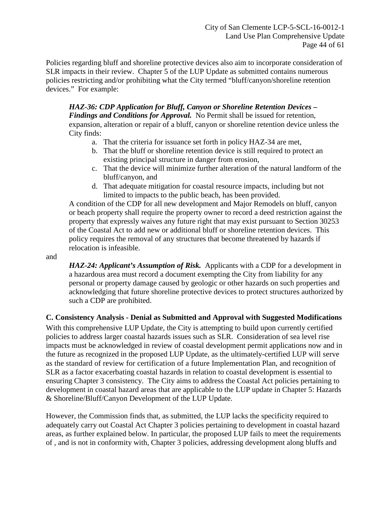Policies regarding bluff and shoreline protective devices also aim to incorporate consideration of SLR impacts in their review. Chapter 5 of the LUP Update as submitted contains numerous policies restricting and/or prohibiting what the City termed "bluff/canyon/shoreline retention devices." For example:

*HAZ-36: CDP Application for Bluff, Canyon or Shoreline Retention Devices – Findings and Conditions for Approval.* No Permit shall be issued for retention, expansion, alteration or repair of a bluff, canyon or shoreline retention device unless the City finds:

- a. That the criteria for issuance set forth in policy HAZ-34 are met,
- b. That the bluff or shoreline retention device is still required to protect an existing principal structure in danger from erosion,
- c. That the device will minimize further alteration of the natural landform of the bluff/canyon, and
- d. That adequate mitigation for coastal resource impacts, including but not limited to impacts to the public beach, has been provided.

A condition of the CDP for all new development and Major Remodels on bluff, canyon or beach property shall require the property owner to record a deed restriction against the property that expressly waives any future right that may exist pursuant to Section 30253 of the Coastal Act to add new or additional bluff or shoreline retention devices. This policy requires the removal of any structures that become threatened by hazards if relocation is infeasible.

and

*HAZ-24: Applicant's Assumption of Risk.* Applicants with a CDP for a development in a hazardous area must record a document exempting the City from liability for any personal or property damage caused by geologic or other hazards on such properties and acknowledging that future shoreline protective devices to protect structures authorized by such a CDP are prohibited.

## **C. Consistency Analysis - Denial as Submitted and Approval with Suggested Modifications**

With this comprehensive LUP Update, the City is attempting to build upon currently certified policies to address larger coastal hazards issues such as SLR. Consideration of sea level rise impacts must be acknowledged in review of coastal development permit applications now and in the future as recognized in the proposed LUP Update, as the ultimately-certified LUP will serve as the standard of review for certification of a future Implementation Plan, and recognition of SLR as a factor exacerbating coastal hazards in relation to coastal development is essential to ensuring Chapter 3 consistency. The City aims to address the Coastal Act policies pertaining to development in coastal hazard areas that are applicable to the LUP update in Chapter 5: Hazards & Shoreline/Bluff/Canyon Development of the LUP Update.

However, the Commission finds that, as submitted, the LUP lacks the specificity required to adequately carry out Coastal Act Chapter 3 policies pertaining to development in coastal hazard areas, as further explained below. In particular, the proposed LUP fails to meet the requirements of , and is not in conformity with, Chapter 3 policies, addressing development along bluffs and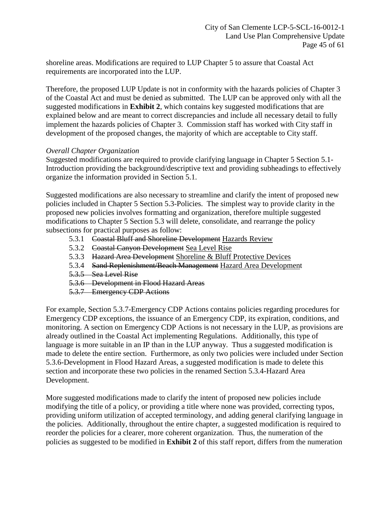shoreline areas. Modifications are required to LUP Chapter 5 to assure that Coastal Act requirements are incorporated into the LUP.

Therefore, the proposed LUP Update is not in conformity with the hazards policies of Chapter 3 of the Coastal Act and must be denied as submitted. The LUP can be approved only with all the suggested modifications in **[Exhibit 2](https://documents.coastal.ca.gov/reports/2018/2/Th12a/Th12a-2-2018-exhibits.pdf)**, which contains key suggested modifications that are explained below and are meant to correct discrepancies and include all necessary detail to fully implement the hazards policies of Chapter 3. Commission staff has worked with City staff in development of the proposed changes, the majority of which are acceptable to City staff.

#### *Overall Chapter Organization*

Suggested modifications are required to provide clarifying language in Chapter 5 Section 5.1- Introduction providing the background/descriptive text and providing subheadings to effectively organize the information provided in Section 5.1.

Suggested modifications are also necessary to streamline and clarify the intent of proposed new policies included in Chapter 5 Section 5.3-Policies. The simplest way to provide clarity in the proposed new policies involves formatting and organization, therefore multiple suggested modifications to Chapter 5 Section 5.3 will delete, consolidate, and rearrange the policy subsections for practical purposes as follow:

- 5.3.1 Coastal Bluff and Shoreline Development Hazards Review
- 5.3.2 Coastal Canyon Development Sea Level Rise
- 5.3.3 Hazard Area Development Shoreline & Bluff Protective Devices
- 5.3.4 Sand Replenishment/Beach Management Hazard Area Development
- 5.3.5 Sea Level Rise
- 5.3.6 Development in Flood Hazard Areas
- 5.3.7 Emergency CDP Actions

For example, Section 5.3.7-Emergency CDP Actions contains policies regarding procedures for Emergency CDP exceptions, the issuance of an Emergency CDP, its expiration, conditions, and monitoring. A section on Emergency CDP Actions is not necessary in the LUP, as provisions are already outlined in the Coastal Act implementing Regulations. Additionally, this type of language is more suitable in an IP than in the LUP anyway. Thus a suggested modification is made to delete the entire section. Furthermore, as only two policies were included under Section 5.3.6-Development in Flood Hazard Areas, a suggested modification is made to delete this section and incorporate these two policies in the renamed Section 5.3.4-Hazard Area Development.

More suggested modifications made to clarify the intent of proposed new policies include modifying the title of a policy, or providing a title where none was provided, correcting typos, providing uniform utilization of accepted terminology, and adding general clarifying language in the policies. Additionally, throughout the entire chapter, a suggested modification is required to reorder the policies for a clearer, more coherent organization. Thus, the numeration of the policies as suggested to be modified in **[Exhibit 2](https://documents.coastal.ca.gov/reports/2018/2/Th12a/Th12a-2-2018-exhibits.pdf)** of this staff report, differs from the numeration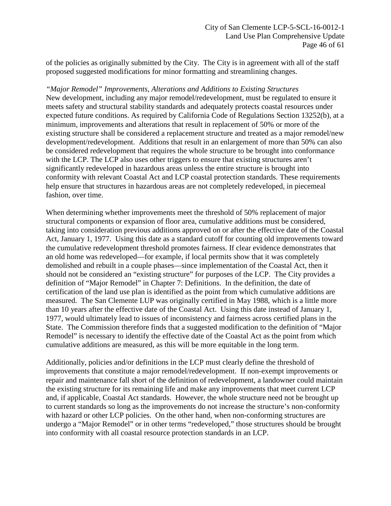of the policies as originally submitted by the City. The City is in agreement with all of the staff proposed suggested modifications for minor formatting and streamlining changes.

*"Major Remodel" Improvements, Alterations and Additions to Existing Structures*  New development, including any major remodel/redevelopment, must be regulated to ensure it meets safety and structural stability standards and adequately protects coastal resources under expected future conditions. As required by California Code of Regulations Section 13252(b), at a minimum, improvements and alterations that result in replacement of 50% or more of the existing structure shall be considered a replacement structure and treated as a major remodel/new development/redevelopment. Additions that result in an enlargement of more than 50% can also be considered redevelopment that requires the whole structure to be brought into conformance with the LCP. The LCP also uses other triggers to ensure that existing structures aren't significantly redeveloped in hazardous areas unless the entire structure is brought into conformity with relevant Coastal Act and LCP coastal protection standards. These requirements help ensure that structures in hazardous areas are not completely redeveloped, in piecemeal fashion, over time.

When determining whether improvements meet the threshold of 50% replacement of major structural components or expansion of floor area, cumulative additions must be considered, taking into consideration previous additions approved on or after the effective date of the Coastal Act, January 1, 1977. Using this date as a standard cutoff for counting old improvements toward the cumulative redevelopment threshold promotes fairness. If clear evidence demonstrates that an old home was redeveloped—for example, if local permits show that it was completely demolished and rebuilt in a couple phases—since implementation of the Coastal Act, then it should not be considered an "existing structure" for purposes of the LCP. The City provides a definition of "Major Remodel" in Chapter 7: Definitions. In the definition, the date of certification of the land use plan is identified as the point from which cumulative additions are measured. The San Clemente LUP was originally certified in May 1988, which is a little more than 10 years after the effective date of the Coastal Act. Using this date instead of January 1, 1977, would ultimately lead to issues of inconsistency and fairness across certified plans in the State. The Commission therefore finds that a suggested modification to the definition of "Major Remodel" is necessary to identify the effective date of the Coastal Act as the point from which cumulative additions are measured, as this will be more equitable in the long term.

Additionally, policies and/or definitions in the LCP must clearly define the threshold of improvements that constitute a major remodel/redevelopment. If non-exempt improvements or repair and maintenance fall short of the definition of redevelopment, a landowner could maintain the existing structure for its remaining life and make any improvements that meet current LCP and, if applicable, Coastal Act standards. However, the whole structure need not be brought up to current standards so long as the improvements do not increase the structure's non-conformity with hazard or other LCP policies. On the other hand, when non-conforming structures are undergo a "Major Remodel" or in other terms "redeveloped," those structures should be brought into conformity with all coastal resource protection standards in an LCP.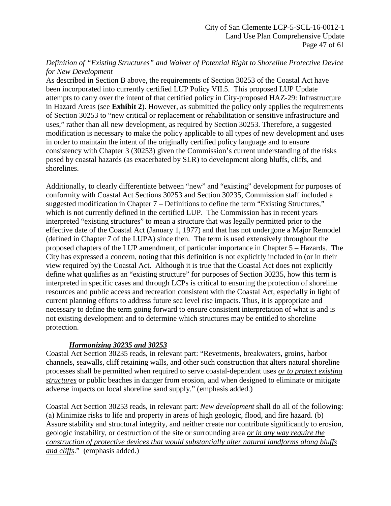## *Definition of "Existing Structures" and Waiver of Potential Right to Shoreline Protective Device for New Development*

As described in Section B above, the requirements of Section 30253 of the Coastal Act have been incorporated into currently certified LUP Policy VII.5. This proposed LUP Update attempts to carry over the intent of that certified policy in City-proposed HAZ-29: Infrastructure in Hazard Areas (see **[Exhibit 2](https://documents.coastal.ca.gov/reports/2018/2/Th12a/Th12a-2-2018-exhibits.pdf)**). However, as submitted the policy only applies the requirements of Section 30253 to "new critical or replacement or rehabilitation or sensitive infrastructure and uses," rather than all new development, as required by Section 30253. Therefore, a suggested modification is necessary to make the policy applicable to all types of new development and uses in order to maintain the intent of the originally certified policy language and to ensure consistency with Chapter 3 (30253) given the Commission's current understanding of the risks posed by coastal hazards (as exacerbated by SLR) to development along bluffs, cliffs, and shorelines.

Additionally, to clearly differentiate between "new" and "existing" development for purposes of conformity with Coastal Act Sections 30253 and Section 30235, Commission staff included a suggested modification in Chapter 7 – Definitions to define the term "Existing Structures," which is not currently defined in the certified LUP. The Commission has in recent years interpreted "existing structures" to mean a structure that was legally permitted prior to the effective date of the Coastal Act (January 1, 1977) and that has not undergone a Major Remodel (defined in Chapter 7 of the LUPA) since then. The term is used extensively throughout the proposed chapters of the LUP amendment, of particular importance in Chapter 5 – Hazards. The City has expressed a concern, noting that this definition is not explicitly included in (or in their view required by) the Coastal Act. Although it is true that the Coastal Act does not explicitly define what qualifies as an "existing structure" for purposes of Section 30235, how this term is interpreted in specific cases and through LCPs is critical to ensuring the protection of shoreline resources and public access and recreation consistent with the Coastal Act, especially in light of current planning efforts to address future sea level rise impacts. Thus, it is appropriate and necessary to define the term going forward to ensure consistent interpretation of what is and is not existing development and to determine which structures may be entitled to shoreline protection.

## *Harmonizing 30235 and 30253*

Coastal Act Section 30235 reads, in relevant part: "Revetments, breakwaters, groins, harbor channels, seawalls, cliff retaining walls, and other such construction that alters natural shoreline processes shall be permitted when required to serve coastal-dependent uses *or to protect existing structures* or public beaches in danger from erosion, and when designed to eliminate or mitigate adverse impacts on local shoreline sand supply." (emphasis added.)

Coastal Act Section 30253 reads, in relevant part: *New development* shall do all of the following: (a) Minimize risks to life and property in areas of high geologic, flood, and fire hazard. (b) Assure stability and structural integrity, and neither create nor contribute significantly to erosion, geologic instability, or destruction of the site or surrounding area *or in any way require the construction of protective devices that would substantially alter natural landforms along bluffs and cliffs*." (emphasis added.)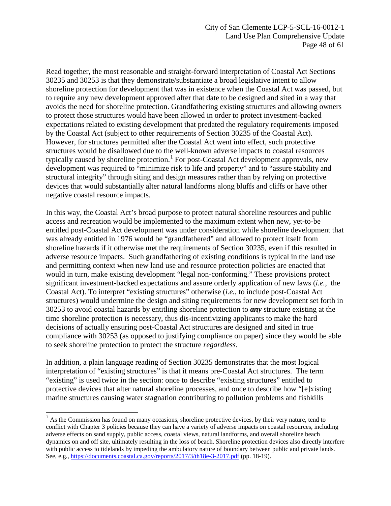Read together, the most reasonable and straight-forward interpretation of Coastal Act Sections 30235 and 30253 is that they demonstrate/substantiate a broad legislative intent to allow shoreline protection for development that was in existence when the Coastal Act was passed, but to require any new development approved after that date to be designed and sited in a way that avoids the need for shoreline protection. Grandfathering existing structures and allowing owners to protect those structures would have been allowed in order to protect investment-backed expectations related to existing development that predated the regulatory requirements imposed by the Coastal Act (subject to other requirements of Section 30235 of the Coastal Act). However, for structures permitted after the Coastal Act went into effect, such protective structures would be disallowed due to the well-known adverse impacts to coastal resources typically caused by shoreline protection.<sup>[1](#page-47-0)</sup> For post-Coastal Act development approvals, new development was required to "minimize risk to life and property" and to "assure stability and structural integrity" through siting and design measures rather than by relying on protective devices that would substantially alter natural landforms along bluffs and cliffs or have other negative coastal resource impacts.

In this way, the Coastal Act's broad purpose to protect natural shoreline resources and public access and recreation would be implemented to the maximum extent when new, yet-to-be entitled post-Coastal Act development was under consideration while shoreline development that was already entitled in 1976 would be "grandfathered" and allowed to protect itself from shoreline hazards if it otherwise met the requirements of Section 30235, even if this resulted in adverse resource impacts. Such grandfathering of existing conditions is typical in the land use and permitting context when new land use and resource protection policies are enacted that would in turn, make existing development "legal non-conforming." These provisions protect significant investment-backed expectations and assure orderly application of new laws (*i.e.*, the Coastal Act). To interpret "existing structures" otherwise (*i.e.*, to include post-Coastal Act structures) would undermine the design and siting requirements for new development set forth in 30253 to avoid coastal hazards by entitling shoreline protection to *any* structure existing at the time shoreline protection is necessary, thus dis-incentivizing applicants to make the hard decisions of actually ensuring post-Coastal Act structures are designed and sited in true compliance with 30253 (as opposed to justifying compliance on paper) since they would be able to seek shoreline protection to protect the structure *regardless*.

In addition, a plain language reading of Section 30235 demonstrates that the most logical interpretation of "existing structures" is that it means pre-Coastal Act structures. The term "existing" is used twice in the section: once to describe "existing structures" entitled to protective devices that alter natural shoreline processes, and once to describe how "[e]xisting marine structures causing water stagnation contributing to pollution problems and fishkills

 $\overline{\phantom{a}}$ 

<span id="page-47-0"></span><sup>&</sup>lt;sup>1</sup> As the Commission has found on many occasions, shoreline protective devices, by their very nature, tend to conflict with Chapter 3 policies because they can have a variety of adverse impacts on coastal resources, including adverse effects on sand supply, public access, coastal views, natural landforms, and overall shoreline beach dynamics on and off site, ultimately resulting in the loss of beach. Shoreline protection devices also directly interfere with public access to tidelands by impeding the ambulatory nature of boundary between public and private lands. See, e.g.,<https://documents.coastal.ca.gov/reports/2017/3/th18e-3-2017.pdf> (pp. 18-19).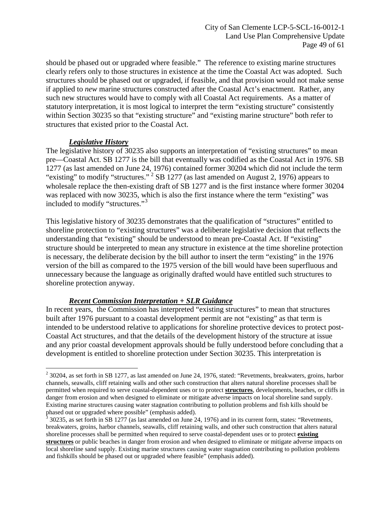should be phased out or upgraded where feasible." The reference to existing marine structures clearly refers only to those structures in existence at the time the Coastal Act was adopted. Such structures should be phased out or upgraded, if feasible, and that provision would not make sense if applied to *new* marine structures constructed after the Coastal Act's enactment. Rather, any such new structures would have to comply with all Coastal Act requirements. As a matter of statutory interpretation, it is most logical to interpret the term "existing structure" consistently within Section 30235 so that "existing structure" and "existing marine structure" both refer to structures that existed prior to the Coastal Act.

## *Legislative History*

The legislative history of 30235 also supports an interpretation of "existing structures" to mean pre—Coastal Act. SB 1277 is the bill that eventually was codified as the Coastal Act in 1976. SB 1277 (as last amended on June 24, 1976) contained former 30204 which did not include the term "existing" to modify "structures."  $2$  SB 1277 (as last amended on August 2, 1976) appears to wholesale replace the then-existing draft of SB 1277 and is the first instance where former 30204 was replaced with now 30235, which is also the first instance where the term "existing" was included to modify "structures."<sup>[3](#page-48-1)</sup>

This legislative history of 30235 demonstrates that the qualification of "structures" entitled to shoreline protection to "existing structures" was a deliberate legislative decision that reflects the understanding that "existing" should be understood to mean pre-Coastal Act. If "existing" structure should be interpreted to mean any structure in existence at the time shoreline protection is necessary, the deliberate decision by the bill author to insert the term "existing" in the 1976 version of the bill as compared to the 1975 version of the bill would have been superfluous and unnecessary because the language as originally drafted would have entitled such structures to shoreline protection anyway.

# *Recent Commission Interpretation + SLR Guidance*

In recent years, the Commission has interpreted "existing structures" to mean that structures built after 1976 pursuant to a coastal development permit are not "existing" as that term is intended to be understood relative to applications for shoreline protective devices to protect post-Coastal Act structures, and that the details of the development history of the structure at issue and any prior coastal development approvals should be fully understood before concluding that a development is entitled to shoreline protection under Section 30235. This interpretation is

<span id="page-48-0"></span> $\overline{a}$  $2$  30204, as set forth in SB 1277, as last amended on June 24, 1976, stated: "Revetments, breakwaters, groins, harbor channels, seawalls, cliff retaining walls and other such construction that alters natural shoreline processes shall be permitted when required to serve coastal-dependent uses or to protect **structures**, developments, beaches, or cliffs in danger from erosion and when designed to eliminate or mitigate adverse impacts on local shoreline sand supply. Existing marine structures causing water stagnation contributing to pollution problems and fish kills should be phased out or upgraded where possible" (emphasis added).

<span id="page-48-1"></span><sup>3</sup> 30235, as set forth in SB 1277 (as last amended on June 24, 1976) and in its current form, states: "Revetments, breakwaters, groins, harbor channels, seawalls, cliff retaining walls, and other such construction that alters natural shoreline processes shall be permitted when required to serve coastal-dependent uses or to protect **existing structures** or public beaches in danger from erosion and when designed to eliminate or mitigate adverse impacts on local shoreline sand supply. Existing marine structures causing water stagnation contributing to pollution problems and fishkills should be phased out or upgraded where feasible" (emphasis added).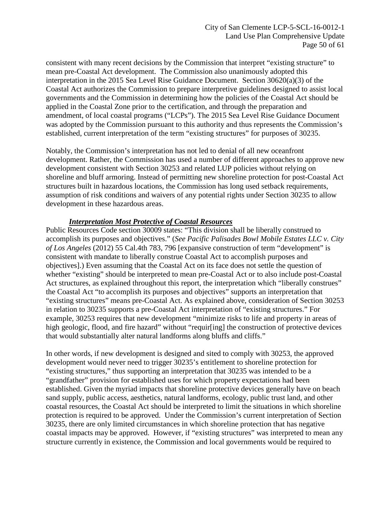consistent with many recent decisions by the Commission that interpret "existing structure" to mean pre-Coastal Act development. The Commission also unanimously adopted this interpretation in the 2015 Sea Level Rise Guidance Document. Section 30620(a)(3) of the Coastal Act authorizes the Commission to prepare interpretive guidelines designed to assist local governments and the Commission in determining how the policies of the Coastal Act should be applied in the Coastal Zone prior to the certification, and through the preparation and amendment, of local coastal programs ("LCPs"). The 2015 Sea Level Rise Guidance Document was adopted by the Commission pursuant to this authority and thus represents the Commission's established, current interpretation of the term "existing structures" for purposes of 30235.

Notably, the Commission's interpretation has not led to denial of all new oceanfront development. Rather, the Commission has used a number of different approaches to approve new development consistent with Section 30253 and related LUP policies without relying on shoreline and bluff armoring. Instead of permitting new shoreline protection for post-Coastal Act structures built in hazardous locations, the Commission has long used setback requirements, assumption of risk conditions and waivers of any potential rights under Section 30235 to allow development in these hazardous areas.

## *Interpretation Most Protective of Coastal Resources*

Public Resources Code section 30009 states: "This division shall be liberally construed to accomplish its purposes and objectives." (*See Pacific Palisades Bowl Mobile Estates LLC v. City of Los Angeles* (2012) 55 Cal.4th 783, 796 [expansive construction of term "development" is consistent with mandate to liberally construe Coastal Act to accomplish purposes and objectives].) Even assuming that the Coastal Act on its face does not settle the question of whether "existing" should be interpreted to mean pre-Coastal Act or to also include post-Coastal Act structures, as explained throughout this report, the interpretation which "liberally construes" the Coastal Act "to accomplish its purposes and objectives" supports an interpretation that "existing structures" means pre-Coastal Act. As explained above, consideration of Section 30253 in relation to 30235 supports a pre-Coastal Act interpretation of "existing structures." For example, 30253 requires that new development "minimize risks to life and property in areas of high geologic, flood, and fire hazard" without "requir[ing] the construction of protective devices that would substantially alter natural landforms along bluffs and cliffs."

In other words, if new development is designed and sited to comply with 30253, the approved development would never need to trigger 30235's entitlement to shoreline protection for "existing structures," thus supporting an interpretation that 30235 was intended to be a "grandfather" provision for established uses for which property expectations had been established. Given the myriad impacts that shoreline protective devices generally have on beach sand supply, public access, aesthetics, natural landforms, ecology, public trust land, and other coastal resources, the Coastal Act should be interpreted to limit the situations in which shoreline protection is required to be approved. Under the Commission's current interpretation of Section 30235, there are only limited circumstances in which shoreline protection that has negative coastal impacts may be approved. However, if "existing structures" was interpreted to mean any structure currently in existence, the Commission and local governments would be required to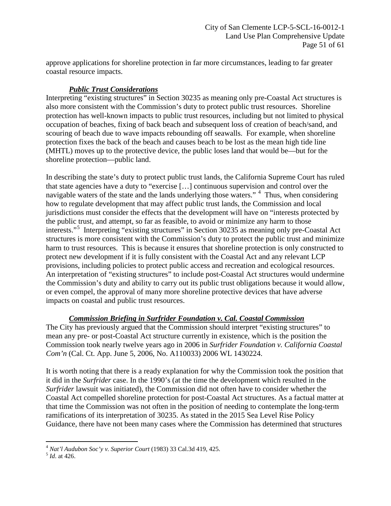approve applications for shoreline protection in far more circumstances, leading to far greater coastal resource impacts.

## *Public Trust Considerations*

Interpreting "existing structures" in Section 30235 as meaning only pre-Coastal Act structures is also more consistent with the Commission's duty to protect public trust resources. Shoreline protection has well-known impacts to public trust resources, including but not limited to physical occupation of beaches, fixing of back beach and subsequent loss of creation of beach/sand, and scouring of beach due to wave impacts rebounding off seawalls. For example, when shoreline protection fixes the back of the beach and causes beach to be lost as the mean high tide line (MHTL) moves up to the protective device, the public loses land that would be—but for the shoreline protection—public land.

In describing the state's duty to protect public trust lands, the California Supreme Court has ruled that state agencies have a duty to "exercise […] continuous supervision and control over the navigable waters of the state and the lands underlying those waters."<sup>[4](#page-50-0)</sup> Thus, when considering how to regulate development that may affect public trust lands, the Commission and local jurisdictions must consider the effects that the development will have on "interests protected by the public trust, and attempt, so far as feasible, to avoid or minimize any harm to those interests."[5](#page-50-1) Interpreting "existing structures" in Section 30235 as meaning only pre-Coastal Act structures is more consistent with the Commission's duty to protect the public trust and minimize harm to trust resources. This is because it ensures that shoreline protection is only constructed to protect new development if it is fully consistent with the Coastal Act and any relevant LCP provisions, including policies to protect public access and recreation and ecological resources. An interpretation of "existing structures" to include post-Coastal Act structures would undermine the Commission's duty and ability to carry out its public trust obligations because it would allow, or even compel, the approval of many more shoreline protective devices that have adverse impacts on coastal and public trust resources.

## *Commission Briefing in Surfrider Foundation v. Cal. Coastal Commission*

The City has previously argued that the Commission should interpret "existing structures" to mean any pre- or post-Coastal Act structure currently in existence, which is the position the Commission took nearly twelve years ago in 2006 in *Surfrider Foundation v. California Coastal Com'n* (Cal. Ct. App. June 5, 2006, No. A110033) 2006 WL 1430224.

It is worth noting that there is a ready explanation for why the Commission took the position that it did in the *Surfrider* case. In the 1990's (at the time the development which resulted in the *Surfrider* lawsuit was initiated), the Commission did not often have to consider whether the Coastal Act compelled shoreline protection for post-Coastal Act structures. As a factual matter at that time the Commission was not often in the position of needing to contemplate the long-term ramifications of its interpretation of 30235. As stated in the 2015 Sea Level Rise Policy Guidance, there have not been many cases where the Commission has determined that structures

<span id="page-50-0"></span> $\overline{a}$ <sup>4</sup> *Nat'l Audubon Soc'y v. Superior Court* (1983) 33 Cal.3d 419, 425. <sup>5</sup> *Id*. at 426.

<span id="page-50-1"></span>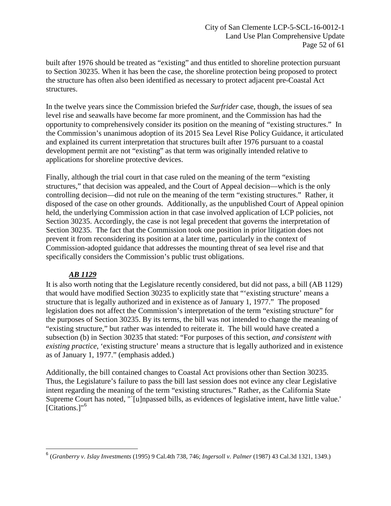built after 1976 should be treated as "existing" and thus entitled to shoreline protection pursuant to Section 30235. When it has been the case, the shoreline protection being proposed to protect the structure has often also been identified as necessary to protect adjacent pre-Coastal Act structures.

In the twelve years since the Commission briefed the *Surfrider* case, though, the issues of sea level rise and seawalls have become far more prominent, and the Commission has had the opportunity to comprehensively consider its position on the meaning of "existing structures." In the Commission's unanimous adoption of its 2015 Sea Level Rise Policy Guidance, it articulated and explained its current interpretation that structures built after 1976 pursuant to a coastal development permit are not "existing" as that term was originally intended relative to applications for shoreline protective devices.

Finally, although the trial court in that case ruled on the meaning of the term "existing structures," that decision was appealed, and the Court of Appeal decision—which is the only controlling decision—did not rule on the meaning of the term "existing structures." Rather, it disposed of the case on other grounds. Additionally, as the unpublished Court of Appeal opinion held, the underlying Commission action in that case involved application of LCP policies, not Section 30235. Accordingly, the case is not legal precedent that governs the interpretation of Section 30235. The fact that the Commission took one position in prior litigation does not prevent it from reconsidering its position at a later time, particularly in the context of Commission-adopted guidance that addresses the mounting threat of sea level rise and that specifically considers the Commission's public trust obligations.

# *AB 1129*

It is also worth noting that the Legislature recently considered, but did not pass, a bill (AB 1129) that would have modified Section 30235 to explicitly state that "'existing structure' means a structure that is legally authorized and in existence as of January 1, 1977." The proposed legislation does not affect the Commission's interpretation of the term "existing structure" for the purposes of Section 30235. By its terms, the bill was not intended to change the meaning of "existing structure," but rather was intended to reiterate it. The bill would have created a subsection (b) in Section 30235 that stated: "For purposes of this section, *and consistent with existing practice*, 'existing structure' means a structure that is legally authorized and in existence as of January 1, 1977." (emphasis added.)

Additionally, the bill contained changes to Coastal Act provisions other than Section 30235. Thus, the Legislature's failure to pass the bill last session does not evince any clear Legislative intent regarding the meaning of the term "existing structures." Rather, as the California State Supreme Court has noted, "`[u]npassed bills, as evidences of legislative intent, have little value.' [Citations.]"<sup>[6](#page-51-0)</sup>

<span id="page-51-0"></span> $\overline{a}$ <sup>6</sup> (*Granberry v. Islay Investments* (1995) 9 Cal.4th 738, 746; *Ingersoll v. Palmer* (1987) 43 Cal.3d 1321, 1349.)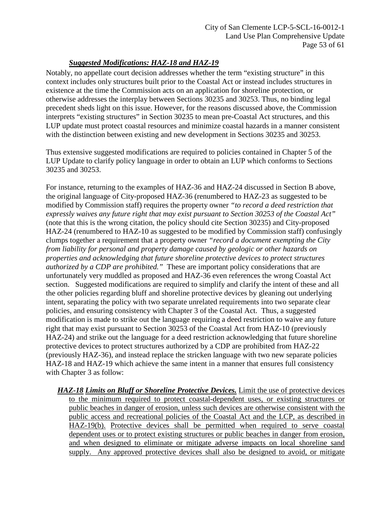# *Suggested Modifications: HAZ-18 and HAZ-19*

Notably, no appellate court decision addresses whether the term "existing structure" in this context includes only structures built prior to the Coastal Act or instead includes structures in existence at the time the Commission acts on an application for shoreline protection, or otherwise addresses the interplay between Sections 30235 and 30253. Thus, no binding legal precedent sheds light on this issue. However, for the reasons discussed above, the Commission interprets "existing structures" in Section 30235 to mean pre-Coastal Act structures, and this LUP update must protect coastal resources and minimize coastal hazards in a manner consistent with the distinction between existing and new development in Sections 30235 and 30253.

Thus extensive suggested modifications are required to policies contained in Chapter 5 of the LUP Update to clarify policy language in order to obtain an LUP which conforms to Sections 30235 and 30253.

For instance, returning to the examples of HAZ-36 and HAZ-24 discussed in Section B above, the original language of City-proposed HAZ-36 (renumbered to HAZ-23 as suggested to be modified by Commission staff) requires the property owner *"to record a deed restriction that expressly waives any future right that may exist pursuant to Section 30253 of the Coastal Act"* (note that this is the wrong citation, the policy should cite Section 30235) and City-proposed HAZ-24 (renumbered to HAZ-10 as suggested to be modified by Commission staff) confusingly clumps together a requirement that a property owner *"record a document exempting the City from liability for personal and property damage caused by geologic or other hazards on properties and acknowledging that future shoreline protective devices to protect structures authorized by a CDP are prohibited."* These are important policy considerations that are unfortunately very muddled as proposed and HAZ-36 even references the wrong Coastal Act section. Suggested modifications are required to simplify and clarify the intent of these and all the other policies regarding bluff and shoreline protective devices by gleaning out underlying intent, separating the policy with two separate unrelated requirements into two separate clear policies, and ensuring consistency with Chapter 3 of the Coastal Act. Thus, a suggested modification is made to strike out the language requiring a deed restriction to waive any future right that may exist pursuant to Section 30253 of the Coastal Act from HAZ-10 (previously HAZ-24) and strike out the language for a deed restriction acknowledging that future shoreline protective devices to protect structures authorized by a CDP are prohibited from HAZ-22 (previously HAZ-36), and instead replace the stricken language with two new separate policies HAZ-18 and HAZ-19 which achieve the same intent in a manner that ensures full consistency with Chapter 3 as follow:

*HAZ-18 Limits on Bluff or Shoreline Protective Devices.* Limit the use of protective devices to the minimum required to protect coastal-dependent uses, or existing structures or public beaches in danger of erosion, unless such devices are otherwise consistent with the public access and recreational policies of the Coastal Act and the LCP, as described in HAZ-19(b). Protective devices shall be permitted when required to serve coastal dependent uses or to protect existing structures or public beaches in danger from erosion, and when designed to eliminate or mitigate adverse impacts on local shoreline sand supply. Any approved protective devices shall also be designed to avoid, or mitigate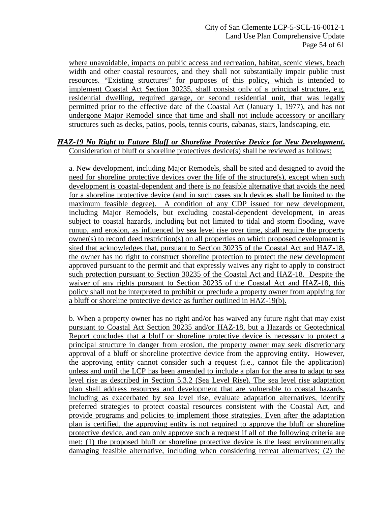where unavoidable, impacts on public access and recreation, habitat, scenic views, beach width and other coastal resources, and they shall not substantially impair public trust resources. "Existing structures" for purposes of this policy, which is intended to implement Coastal Act Section 30235, shall consist only of a principal structure, e.g. residential dwelling, required garage, or second residential unit, that was legally permitted prior to the effective date of the Coastal Act (January 1, 1977), and has not undergone Major Remodel since that time and shall not include accessory or ancillary structures such as decks, patios, pools, tennis courts, cabanas, stairs, landscaping, etc.

#### *HAZ-19 No Right to Future Bluff or Shoreline Protective Device for New Development***.** Consideration of bluff or shoreline protectives device(s) shall be reviewed as follows:

a. New development, including Major Remodels, shall be sited and designed to avoid the need for shoreline protective devices over the life of the structure(s), except when such development is coastal-dependent and there is no feasible alternative that avoids the need for a shoreline protective device (and in such cases such devices shall be limited to the maximum feasible degree). A condition of any CDP issued for new development, including Major Remodels, but excluding coastal-dependent development, in areas subject to coastal hazards, including but not limited to tidal and storm flooding, wave runup, and erosion, as influenced by sea level rise over time, shall require the property owner(s) to record deed restriction(s) on all properties on which proposed development is sited that acknowledges that, pursuant to Section 30235 of the Coastal Act and HAZ-18, the owner has no right to construct shoreline protection to protect the new development approved pursuant to the permit and that expressly waives any right to apply to construct such protection pursuant to Section 30235 of the Coastal Act and HAZ-18. Despite the waiver of any rights pursuant to Section 30235 of the Coastal Act and HAZ-18, this policy shall not be interpreted to prohibit or preclude a property owner from applying for a bluff or shoreline protective device as further outlined in HAZ-19(b).

b. When a property owner has no right and/or has waived any future right that may exist pursuant to Coastal Act Section 30235 and/or HAZ-18, but a Hazards or Geotechnical Report concludes that a bluff or shoreline protective device is necessary to protect a principal structure in danger from erosion, the property owner may seek discretionary approval of a bluff or shoreline protective device from the approving entity. However, the approving entity cannot consider such a request (i.e., cannot file the application) unless and until the LCP has been amended to include a plan for the area to adapt to sea level rise as described in Section 5.3.2 (Sea Level Rise). The sea level rise adaptation plan shall address resources and development that are vulnerable to coastal hazards, including as exacerbated by sea level rise, evaluate adaptation alternatives, identify preferred strategies to protect coastal resources consistent with the Coastal Act, and provide programs and policies to implement those strategies. Even after the adaptation plan is certified, the approving entity is not required to approve the bluff or shoreline protective device, and can only approve such a request if all of the following criteria are met: (1) the proposed bluff or shoreline protective device is the least environmentally damaging feasible alternative, including when considering retreat alternatives; (2) the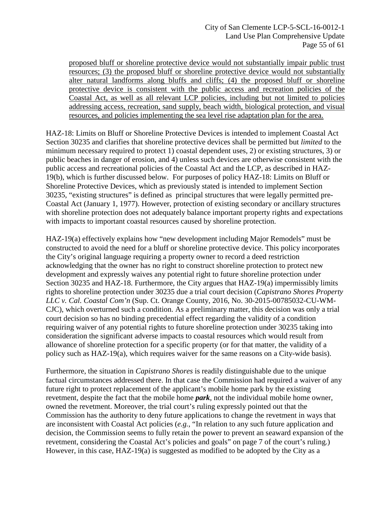proposed bluff or shoreline protective device would not substantially impair public trust resources; (3) the proposed bluff or shoreline protective device would not substantially alter natural landforms along bluffs and cliffs; (4) the proposed bluff or shoreline protective device is consistent with the public access and recreation policies of the Coastal Act, as well as all relevant LCP policies, including but not limited to policies addressing access, recreation, sand supply, beach width, biological protection, and visual resources, and policies implementing the sea level rise adaptation plan for the area.

HAZ-18: Limits on Bluff or Shoreline Protective Devices is intended to implement Coastal Act Section 30235 and clarifies that shoreline protective devices shall be permitted but *limited* to the minimum necessary required to protect 1) coastal dependent uses, 2) or existing structures, 3) or public beaches in danger of erosion, and 4) unless such devices are otherwise consistent with the public access and recreational policies of the Coastal Act and the LCP, as described in HAZ-19(b), which is further discussed below. For purposes of policy HAZ-18: Limits on Bluff or Shoreline Protective Devices, which as previously stated is intended to implement Section 30235, "existing structures" is defined as principal structures that were legally permitted pre-Coastal Act (January 1, 1977). However, protection of existing secondary or ancillary structures with shoreline protection does not adequately balance important property rights and expectations with impacts to important coastal resources caused by shoreline protection.

HAZ-19(a) effectively explains how "new development including Major Remodels" must be constructed to avoid the need for a bluff or shoreline protective device. This policy incorporates the City's original language requiring a property owner to record a deed restriction acknowledging that the owner has no right to construct shoreline protection to protect new development and expressly waives any potential right to future shoreline protection under Section 30235 and HAZ-18. Furthermore, the City argues that HAZ-19(a) impermissibly limits rights to shoreline protection under 30235 due a trial court decision (*Capistrano Shores Property LLC v. Cal. Coastal Com'n* (Sup. Ct. Orange County, 2016, No. 30-2015-00785032-CU-WM-CJC), which overturned such a condition. As a preliminary matter, this decision was only a trial court decision so has no binding precedential effect regarding the validity of a condition requiring waiver of any potential rights to future shoreline protection under 30235 taking into consideration the significant adverse impacts to coastal resources which would result from allowance of shoreline protection for a specific property (or for that matter, the validity of a policy such as HAZ-19(a), which requires waiver for the same reasons on a City-wide basis).

Furthermore, the situation in *Capistrano Shores* is readily distinguishable due to the unique factual circumstances addressed there. In that case the Commission had required a waiver of any future right to protect replacement of the applicant's mobile home park by the existing revetment, despite the fact that the mobile home *park*, not the individual mobile home owner, owned the revetment. Moreover, the trial court's ruling expressly pointed out that the Commission has the authority to deny future applications to change the revetment in ways that are inconsistent with Coastal Act policies (*e.g.*, "In relation to any such future application and decision, the Commission seems to fully retain the power to prevent an seaward expansion of the revetment, considering the Coastal Act's policies and goals" on page 7 of the court's ruling.) However, in this case, HAZ-19(a) is suggested as modified to be adopted by the City as a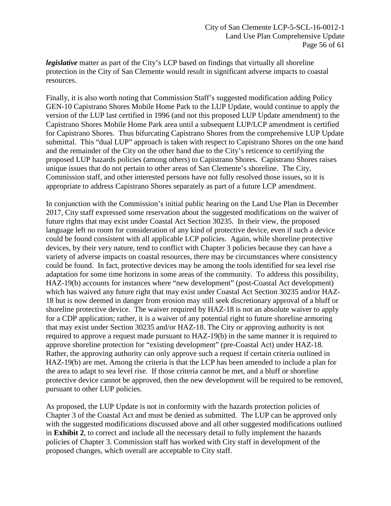*legislative* matter as part of the City's LCP based on findings that virtually all shoreline protection in the City of San Clemente would result in significant adverse impacts to coastal resources.

Finally, it is also worth noting that Commission Staff's suggested modification adding Policy GEN-10 Capistrano Shores Mobile Home Park to the LUP Update, would continue to apply the version of the LUP last certified in 1996 (and not this proposed LUP Update amendment) to the Capistrano Shores Mobile Home Park area until a subsequent LUP/LCP amendment is certified for Capistrano Shores. Thus bifurcating Capistrano Shores from the comprehensive LUP Update submittal. This "dual LUP" approach is taken with respect to Capistrano Shores on the one hand and the remainder of the City on the other hand due to the City's reticence to certifying the proposed LUP hazards policies (among others) to Capistrano Shores. Capistrano Shores raises unique issues that do not pertain to other areas of San Clemente's shoreline. The City, Commission staff, and other interested persons have not fully resolved those issues, so it is appropriate to address Capistrano Shores separately as part of a future LCP amendment.

In conjunction with the Commission's initial public hearing on the Land Use Plan in December 2017, City staff expressed some reservation about the suggested modifications on the waiver of future rights that may exist under Coastal Act Section 30235. In their view, the proposed language left no room for consideration of any kind of protective device, even if such a device could be found consistent with all applicable LCP policies. Again, while shoreline protective devices, by their very nature, tend to conflict with Chapter 3 policies because they can have a variety of adverse impacts on coastal resources, there may be circumstances where consistency could be found. In fact, protective devices may be among the tools identified for sea level rise adaptation for some time horizons in some areas of the community. To address this possibility, HAZ-19(b) accounts for instances where "new development" (post-Coastal Act development) which has waived any future right that may exist under Coastal Act Section 30235 and/or HAZ-18 but is now deemed in danger from erosion may still seek discretionary approval of a bluff or shoreline protective device. The waiver required by HAZ-18 is not an absolute waiver to apply for a CDP application; rather, it is a waiver of any potential right to future shoreline armoring that may exist under Section 30235 and/or HAZ-18. The City or approving authority is not required to approve a request made pursuant to HAZ-19(b) in the same manner it is required to approve shoreline protection for "existing development" (pre-Coastal Act) under HAZ-18. Rather, the approving authority can only approve such a request if certain criteria outlined in HAZ-19(b) are met. Among the criteria is that the LCP has been amended to include a plan for the area to adapt to sea level rise. If those criteria cannot be met, and a bluff or shoreline protective device cannot be approved, then the new development will be required to be removed, pursuant to other LUP policies.

As proposed, the LUP Update is not in conformity with the hazards protection policies of Chapter 3 of the Coastal Act and must be denied as submitted. The LUP can be approved only with the suggested modifications discussed above and all other suggested modifications outlined in **[Exhibit 2](https://documents.coastal.ca.gov/reports/2018/2/Th12a/Th12a-2-2018-exhibits.pdf)**, to correct and include all the necessary detail to fully implement the hazards policies of Chapter 3. Commission staff has worked with City staff in development of the proposed changes, which overall are acceptable to City staff.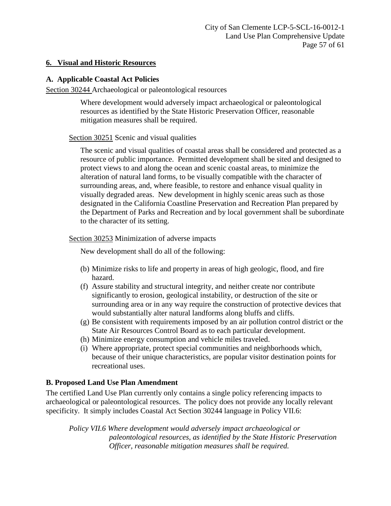## <span id="page-56-0"></span>**6. Visual and Historic Resources**

## **A. Applicable Coastal Act Policies**

Section 30244 Archaeological or paleontological resources

Where development would adversely impact archaeological or paleontological resources as identified by the State Historic Preservation Officer, reasonable mitigation measures shall be required.

## Section 30251 Scenic and visual qualities

The scenic and visual qualities of coastal areas shall be considered and protected as a resource of public importance. Permitted development shall be sited and designed to protect views to and along the ocean and scenic coastal areas, to minimize the alteration of natural land forms, to be visually compatible with the character of surrounding areas, and, where feasible, to restore and enhance visual quality in visually degraded areas. New development in highly scenic areas such as those designated in the California Coastline Preservation and Recreation Plan prepared by the Department of Parks and Recreation and by local government shall be subordinate to the character of its setting.

## Section 30253 Minimization of adverse impacts

New development shall do all of the following:

- (b) Minimize risks to life and property in areas of high geologic, flood, and fire hazard.
- (f) Assure stability and structural integrity, and neither create nor contribute significantly to erosion, geological instability, or destruction of the site or surrounding area or in any way require the construction of protective devices that would substantially alter natural landforms along bluffs and cliffs.
- (g) Be consistent with requirements imposed by an air pollution control district or the State Air Resources Control Board as to each particular development.
- (h) Minimize energy consumption and vehicle miles traveled.
- (i) Where appropriate, protect special communities and neighborhoods which, because of their unique characteristics, are popular visitor destination points for recreational uses.

## **B. Proposed Land Use Plan Amendment**

The certified Land Use Plan currently only contains a single policy referencing impacts to archaeological or paleontological resources. The policy does not provide any locally relevant specificity. It simply includes Coastal Act Section 30244 language in Policy VII.6:

*Policy VII.6 Where development would adversely impact archaeological or paleontological resources, as identified by the State Historic Preservation Officer, reasonable mitigation measures shall be required.*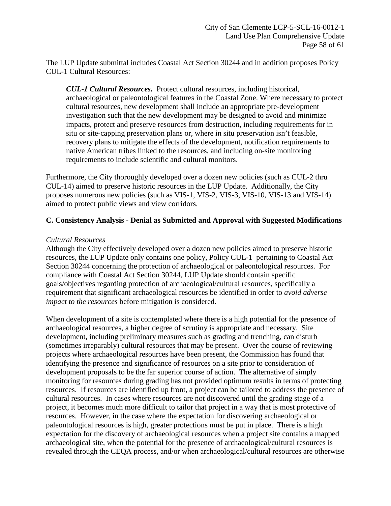The LUP Update submittal includes Coastal Act Section 30244 and in addition proposes Policy CUL-1 Cultural Resources:

*CUL-1 Cultural Resources.* Protect cultural resources, including historical, archaeological or paleontological features in the Coastal Zone. Where necessary to protect cultural resources, new development shall include an appropriate pre-development investigation such that the new development may be designed to avoid and minimize impacts, protect and preserve resources from destruction, including requirements for in situ or site-capping preservation plans or, where in situ preservation isn't feasible, recovery plans to mitigate the effects of the development, notification requirements to native American tribes linked to the resources, and including on-site monitoring requirements to include scientific and cultural monitors.

Furthermore, the City thoroughly developed over a dozen new policies (such as CUL-2 thru CUL-14) aimed to preserve historic resources in the LUP Update. Additionally, the City proposes numerous new policies (such as VIS-1, VIS-2, VIS-3, VIS-10, VIS-13 and VIS-14) aimed to protect public views and view corridors.

## **C. Consistency Analysis - Denial as Submitted and Approval with Suggested Modifications**

#### *Cultural Resources*

Although the City effectively developed over a dozen new policies aimed to preserve historic resources, the LUP Update only contains one policy, Policy CUL-1 pertaining to Coastal Act Section 30244 concerning the protection of archaeological or paleontological resources. For compliance with Coastal Act Section 30244, LUP Update should contain specific goals/objectives regarding protection of archaeological/cultural resources, specifically a requirement that significant archaeological resources be identified in order to *avoid adverse impact to the resources* before mitigation is considered.

When development of a site is contemplated where there is a high potential for the presence of archaeological resources, a higher degree of scrutiny is appropriate and necessary. Site development, including preliminary measures such as grading and trenching, can disturb (sometimes irreparably) cultural resources that may be present. Over the course of reviewing projects where archaeological resources have been present, the Commission has found that identifying the presence and significance of resources on a site prior to consideration of development proposals to be the far superior course of action. The alternative of simply monitoring for resources during grading has not provided optimum results in terms of protecting resources. If resources are identified up front, a project can be tailored to address the presence of cultural resources. In cases where resources are not discovered until the grading stage of a project, it becomes much more difficult to tailor that project in a way that is most protective of resources. However, in the case where the expectation for discovering archaeological or paleontological resources is high, greater protections must be put in place. There is a high expectation for the discovery of archaeological resources when a project site contains a mapped archaeological site, when the potential for the presence of archaeological/cultural resources is revealed through the CEQA process, and/or when archaeological/cultural resources are otherwise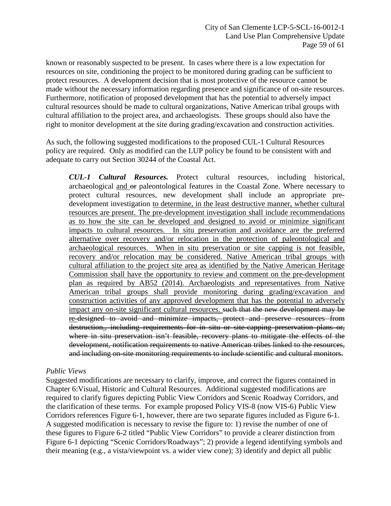known or reasonably suspected to be present. In cases where there is a low expectation for resources on site, conditioning the project to be monitored during grading can be sufficient to protect resources. A development decision that is most protective of the resource cannot be made without the necessary information regarding presence and significance of on-site resources. Furthermore, notification of proposed development that has the potential to adversely impact cultural resources should be made to cultural organizations, Native American tribal groups with cultural affiliation to the project area, and archaeologists. These groups should also have the right to monitor development at the site during grading/excavation and construction activities.

As such, the following suggested modifications to the proposed CUL-1 Cultural Resources policy are required. Only as modified can the LUP policy be found to be consistent with and adequate to carry out Section 30244 of the Coastal Act.

*CUL-1 Cultural Resources.* Protect cultural resources, including historical, archaeological and or paleontological features in the Coastal Zone. Where necessary to protect cultural resources, new development shall include an appropriate predevelopment investigation to determine, in the least destructive manner, whether cultural resources are present. The pre-development investigation shall include recommendations as to how the site can be developed and designed to avoid or minimize significant impacts to cultural resources. In situ preservation and avoidance are the preferred alternative over recovery and/or relocation in the protection of paleontological and archaeological resources. When in situ preservation or site capping is not feasible, recovery and/or relocation may be considered. Native American tribal groups with cultural affiliation to the project site area as identified by the Native American Heritage Commission shall have the opportunity to review and comment on the pre-development plan as required by AB52 (2014). Archaeologists and representatives from Native American tribal groups shall provide monitoring during grading/excavation and construction activities of any approved development that has the potential to adversely impact any on-site significant cultural resources. such that the new development may be re-designed to avoid and minimize impacts, protect and preserve resources from destruction., including requirements for in situ or site-capping preservation plans or, where in situ preservation isn't feasible, recovery plans to mitigate the effects of the development, notification requirements to native American tribes linked to the resources, and including on-site monitoring requirements to include scientific and cultural monitors.

#### *Public Views*

Suggested modifications are necessary to clarify, improve, and correct the figures contained in Chapter 6:Visual, Historic and Cultural Resources. Additional suggested modifications are required to clarify figures depicting Public View Corridors and Scenic Roadway Corridors, and the clarification of these terms. For example proposed Policy VIS-8 (now VIS-6) Public View Corridors references Figure 6-1, however, there are two separate figures included as Figure 6-1. A suggested modification is necessary to revise the figure to: 1) revise the number of one of these figures to Figure 6-2 titled "Public View Corridors" to provide a clearer distinction from Figure 6-1 depicting "Scenic Corridors/Roadways"; 2) provide a legend identifying symbols and their meaning (e.g., a vista/viewpoint vs. a wider view cone); 3) identify and depict all public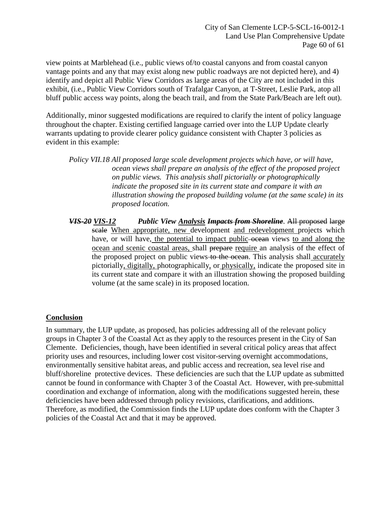view points at Marblehead (i.e., public views of/to coastal canyons and from coastal canyon vantage points and any that may exist along new public roadways are not depicted here), and 4) identify and depict all Public View Corridors as large areas of the City are not included in this exhibit, (i.e., Public View Corridors south of Trafalgar Canyon, at T-Street, Leslie Park, atop all bluff public access way points, along the beach trail, and from the State Park/Beach are left out).

Additionally, minor suggested modifications are required to clarify the intent of policy language throughout the chapter. Existing certified language carried over into the LUP Update clearly warrants updating to provide clearer policy guidance consistent with Chapter 3 policies as evident in this example:

*Policy VII.18 All proposed large scale development projects which have, or will have, ocean views shall prepare an analysis of the effect of the proposed project on public views. This analysis shall pictorially or photographically indicate the proposed site in its current state and compare it with an illustration showing the proposed building volume (at the same scale) in its proposed location.* 

*VIS-20 VIS-12 Public View Analysis Impacts from Shoreline*. All proposed large scale When appropriate, new development and redevelopment projects which have, or will have, the potential to impact public ocean views to and along the ocean and scenic coastal areas, shall prepare require an analysis of the effect of the proposed project on public views to the ocean. This analysis shall accurately pictorially, digitally, photographically, or physically, indicate the proposed site in its current state and compare it with an illustration showing the proposed building volume (at the same scale) in its proposed location.

## <span id="page-59-0"></span>**Conclusion**

In summary, the LUP update, as proposed, has policies addressing all of the relevant policy groups in Chapter 3 of the Coastal Act as they apply to the resources present in the City of San Clemente. Deficiencies, though, have been identified in several critical policy areas that affect priority uses and resources, including lower cost visitor-serving overnight accommodations, environmentally sensitive habitat areas, and public access and recreation, sea level rise and bluff/shoreline protective devices. These deficiencies are such that the LUP update as submitted cannot be found in conformance with Chapter 3 of the Coastal Act. However, with pre-submittal coordination and exchange of information, along with the modifications suggested herein, these deficiencies have been addressed through policy revisions, clarifications, and additions. Therefore, as modified, the Commission finds the LUP update does conform with the Chapter 3 policies of the Coastal Act and that it may be approved.